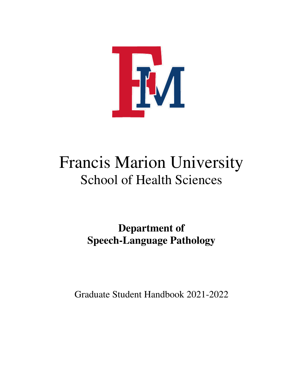

# Francis Marion University School of Health Sciences

**Department of Speech-Language Pathology** 

Graduate Student Handbook 2021-2022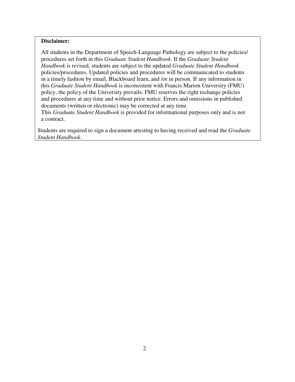## **Disclaimer:**

All students in the Department of Speech-Language Pathology are subject to the policies/ procedures set forth in this *Graduate Student Handbook*. If the *Graduate Student Handbook* is revised, students are subject to the updated *Graduate Student Handbook*  policies/procedures. Updated policies and procedures will be communicated to students in a timely fashion by email, Blackboard learn, and /or in person. If any information in this *Graduate Student Handbook* is inconsistent with Francis Marion University (FMU) policy, the policy of the University prevails. FMU reserves the right to change policies and procedures at any time and without prior notice. Errors and omissions in published documents (written or electronic) may be corrected at any time.

This *Graduate Student Handbook* is provided for informational purposes only and is not a contract.

Students are required to sign a document attesting to having received and read the *Graduate Student Handbook*.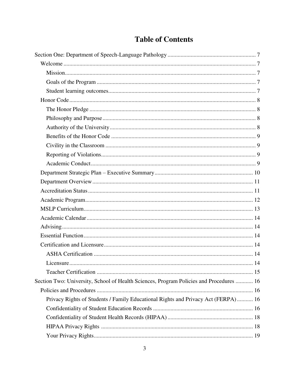|  | <b>Table of Contents</b> |
|--|--------------------------|
|--|--------------------------|

| Section Two: University, School of Health Sciences, Program Policies and Procedures  16 |  |
|-----------------------------------------------------------------------------------------|--|
|                                                                                         |  |
| Privacy Rights of Students / Family Educational Rights and Privacy Act (FERPA) 16       |  |
|                                                                                         |  |
|                                                                                         |  |
|                                                                                         |  |
|                                                                                         |  |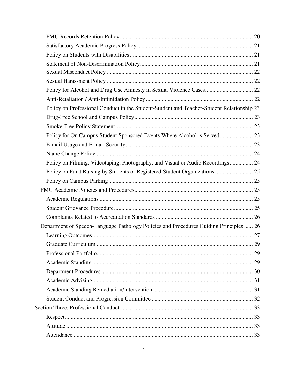| Policy on Professional Conduct in the Student-Student and Teacher-Student Relationship 23 |  |
|-------------------------------------------------------------------------------------------|--|
|                                                                                           |  |
|                                                                                           |  |
| Policy for On Campus Student Sponsored Events Where Alcohol is Served 23                  |  |
|                                                                                           |  |
|                                                                                           |  |
| Policy on Filming, Videotaping, Photography, and Visual or Audio Recordings 24            |  |
| Policy on Fund Raising by Students or Registered Student Organizations  25                |  |
|                                                                                           |  |
|                                                                                           |  |
|                                                                                           |  |
|                                                                                           |  |
|                                                                                           |  |
| Department of Speech-Language Pathology Policies and Procedures Guiding Principles  26    |  |
|                                                                                           |  |
|                                                                                           |  |
|                                                                                           |  |
|                                                                                           |  |
|                                                                                           |  |
|                                                                                           |  |
|                                                                                           |  |
|                                                                                           |  |
|                                                                                           |  |
|                                                                                           |  |
|                                                                                           |  |
|                                                                                           |  |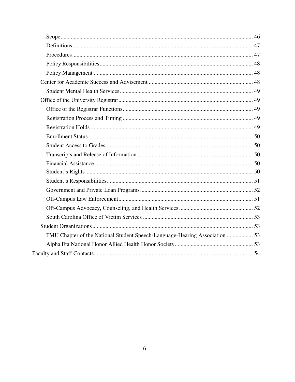| FMU Chapter of the National Student Speech-Language-Hearing Association  53 |  |
|-----------------------------------------------------------------------------|--|
|                                                                             |  |
|                                                                             |  |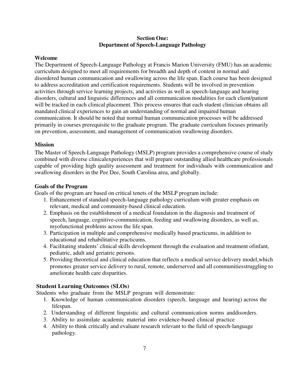## **Section One: Department of Speech-Language Pathology**

#### <span id="page-6-1"></span><span id="page-6-0"></span>**Welcome**

The Department of Speech-Language Pathology at Francis Marion University (FMU) has an academic curriculum designed to meet all requirements for breadth and depth of content in normal and disordered human communication and swallowing across the life span. Each course has been designed to address accreditation and certification requirements. Students will be involved in prevention activities through service learning projects, and activities as well as speech-language and hearing disorders, cultural and linguistic differences and all communication modalities for each client/patient will be tracked in each clinical placement. This process ensures that each student clinician obtains all mandated clinical experiences to gain an understanding of normal and impaired human communication. It should be noted that normal human communication processes will be addressed primarily in courses prerequisite to the graduate program. The graduate curriculum focuses primarily on prevention, assessment, and management of communication swallowing disorders.

#### <span id="page-6-2"></span>**Mission**

The Master of Speech-Language Pathology (MSLP) program provides a comprehensive course of study combined with diverse clinical experiences that will prepare outstanding allied healthcare professionals capable of providing high quality assessment and treatment for individuals with communication and swallowing disorders in the Pee Dee, South Carolina area, and globally.

#### <span id="page-6-3"></span>**Goals of the Program**

Goals of the program are based on critical tenets of the MSLP program include:

- 1. Enhancement of standard speech-language pathology curriculum with greater emphasis on relevant, medical and community-based clinical education.
- 2. Emphasis on the establishment of a medical foundation in the diagnosis and treatment of speech, language, cognitive-communication, feeding and swallowing disorders, as well as, myofunctional problems across the life span.
- 3. Participation in multiple and comprehensive medically based practicums, in addition to educational and rehabilitative practicums.
- 4. Facilitating students' clinical skills development through the evaluation and treatment of infant, pediatric, adult and geriatric persons.
- 5. Providing theoretical and clinical education that reflects a medical service delivery model, which promotes greater service delivery to rural, remote, underserved and all communities struggling to ameliorate health care disparities.

## <span id="page-6-4"></span>**Student Learning Outcomes (SLOs)**

Students who graduate from the MSLP program will demonstrate:

- 1. Knowledge of human communication disorders (speech, language and hearing) across the lifespan.
- 2. Understanding of different linguistic and cultural communication norms and disorders.
- 3. Ability to assimilate academic material into evidence-based clinical practice
- 4. Ability to think critically and evaluate research relevant to the field of speech-language pathology.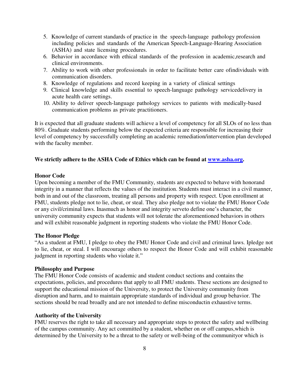- 5. Knowledge of current standards of practice in the speech-language pathology profession including policies and standards of the American Speech-Language-Hearing Association (ASHA) and state licensing procedures.
- 6. Behavior in accordance with ethical standards of the profession in academic, research and clinical environments.
- 7. Ability to work with other professionals in order to facilitate better care of individuals with communication disorders.
- 8. Knowledge of regulations and record keeping in a variety of clinical settings
- 9. Clinical knowledge and skills essential to speech-language pathology servicedelivery in acute health care settings.
- 10. Ability to deliver speech-language pathology services to patients with medically- based communication problems as private practitioners.

<span id="page-7-0"></span>It is expected that all graduate students will achieve a level of competency for all SLOs of no less than 80%. Graduate students performing below the expected criteria are responsible for increasing their level of competency by successfully completing an academic remediation/intervention plan developed with the faculty member.

#### **We strictly adhere to the ASHA Code of Ethics which can be found at [www.asha.org.](file:///C:/Users/frances.burns/AppData/Local/Microsoft/Windows/INetCache/Content.Outlook/SF3KDD4V/www.asha.org)**

#### **Honor Code**

Upon becoming a member of the FMU Community, students are expected to behave with honor and integrity in a manner that reflects the values of the institution. Students must interact in a civil manner, both in and out of the classroom, treating all persons and property with respect. Upon enrollment at FMU, students pledge not to lie, cheat, or steal. They also pledge not to violate the FMU Honor Code or any civil/criminal laws. Inasmuch as honor and integrity serve to define one's character, the university community expects that students will not tolerate the aforementioned behaviors in others and will exhibit reasonable judgment in reporting students who violate the FMU Honor Code.

#### <span id="page-7-1"></span>**The Honor Pledge**

"As a student at FMU, I pledge to obey the FMU Honor Code and civil and criminal laws. Ipledge not to lie, cheat, or steal. I will encourage others to respect the Honor Code and will exhibit reasonable judgment in reporting students who violate it."

#### <span id="page-7-2"></span>**Philosophy and Purpose**

The FMU Honor Code consists of academic and student conduct sections and contains the expectations, policies, and procedures that apply to all FMU students. These sections are designed to support the educational mission of the University, to protect the University community from disruption and harm, and to maintain appropriate standards of individual and group behavior. The sections should be read broadly and are not intended to define misconductin exhaustive terms.

#### <span id="page-7-3"></span>**Authority of the University**

FMU reserves the right to take all necessary and appropriate steps to protect the safety and wellbeing of the campus community. Any act committed by a student, whether on or off campus, which is determined by the University to be a threat to the safety or well-being of the community or which is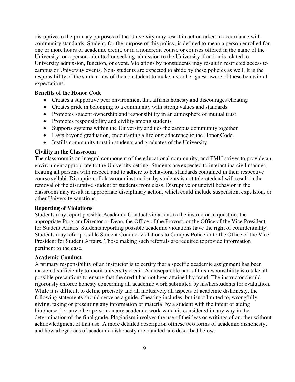disruptive to the primary purposes of the University may result in action taken in accordance with community standards. Student, for the purpose of this policy, is defined to mean a person enrolled for one or more hours of academic credit, or in a noncredit course or courses offered in the name of the University; or a person admitted or seeking admission to the University if action is related to University admission, function, or event. Violations by nonstudents may result in restricted access to campus or University events. Non- students are expected to abide by these policies as well. It is the responsibility of the student host of the nonstudent to make his or her guest aware of these behavioral expectations.

#### **Benefits of the Honor Code**

- <span id="page-8-0"></span>Creates a supportive peer environment that affirms honesty and discourages cheating
- Creates pride in belonging to a community with strong values and standards
- Promotes student ownership and responsibility in an atmosphere of mutual trust
- Promotes responsibility and civility among students
- Supports systems within the University and ties the campus community together
- Lasts beyond graduation, encouraging a lifelong adherence to the Honor Code
- Instills community trust in students and graduates of the University

#### <span id="page-8-1"></span>**Civility in the Classroom**

The classroom is an integral component of the educational community, and FMU strives to provide an environment appropriate to the University setting. Students are expected to interact ina civil manner, treating all persons with respect, and to adhere to behavioral standards contained in their respective course syllabi. Disruption of classroom instruction by students is not tolerated and will result in the removal of the disruptive student or students from class. Disruptive or uncivil behavior in the classroom may result in appropriate disciplinary action, which could include suspension, expulsion, or other University sanctions.

#### <span id="page-8-2"></span>**Reporting of Violations**

Students may report possible Academic Conduct violations to the instructor in question, the appropriate Program Director or Dean, the Office of the Provost, or the Office of the Vice President for Student Affairs. Students reporting possible academic violations have the right of confidentiality. Students may refer possible Student Conduct violations to Campus Police or to the Office of the Vice President for Student Affairs. Those making such referrals are required to provide information pertinent to the case.

#### <span id="page-8-3"></span>**Academic Conduct**

A primary responsibility of an instructor is to certify that a specific academic assignment has been mastered sufficiently to merit university credit. An inseparable part of this responsibility is to take all possible precautions to ensure that the credit has not been attained by fraud. The instructor should rigorously enforce honesty concerning all academic work submitted by his/her students for evaluation. While it is difficult to define precisely and all inclusively all aspects of academic dishonesty, the following statements should serve as a guide. Cheating includes, but is not limited to, wrongfully giving, taking or presenting any information or material by a student with the intent of aiding him/herself or any other person on any academic work which is considered in any way in the determination of the final grade. Plagiarism involves the use of the ideas or writings of another without acknowledgment of that use. A more detailed description of these two forms of academic dishonesty, and how allegations of academic dishonesty are handled, are described below.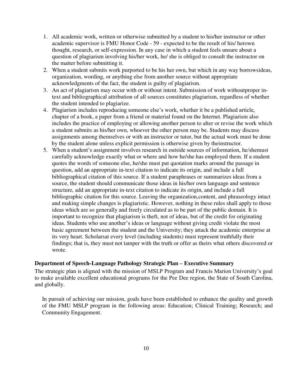- 1. All academic work, written or otherwise submitted by a student to his/her instructor or other academic supervisor is FMU Honor Code - 59 - expected to be the result of his/ herown thought, research, or self-expression. In any case in which a student feels unsure about a question of plagiarism involving his/her work, he/ she is obliged to consult the instructor on the matter before submitting it.
- 2. When a student submits work purported to be his her own, but which in any way borrows ideas, organization, wording, or anything else from another source without appropriate acknowledgments of the fact, the student is guilty of plagiarism.
- 3. An act of plagiarism may occur with or without intent. Submission of work without proper intext and bibliographical attribution of all sources constitutes plagiarism, regardless of whether the student intended to plagiarize.
- 4. Plagiarism includes reproducing someone else's work, whether it be a published article, chapter of a book, a paper from a friend or material found on the Internet. Plagiarism also includes the practice of employing or allowing another person to alter or revise the work which a student submits as his/her own, whoever the other person may be. Students may discuss assignments among themselves or with an instructor or tutor, but the actual work must be done by the student alone unless explicit permission is otherwise given by the instructor.
- 5. When a student's assignment involves research in outside sources of information, he/shemust carefully acknowledge exactly what or where and how he/she has employed them. If a student quotes the words of someone else, he/she must put quotation marks around the passage in question, add an appropriate in-text citation to indicate its origin, and include a full bibliographical citation of this source. If a student paraphrases or summarizes ideas from a source, the student should communicate those ideas in his/her own language and sentence structure, add an appropriate in-text citation to indicate its origin, and include a full bibliographic citation for this source. Leaving the organization, content, and phraseology intact and making simple changes is plagiaristic. However, nothing in these rules shall apply to those ideas which are so generally and freely circulated as to be part of the public domain. It is important to recognize that plagiarism is theft, not of ideas, but of the credit for originating ideas. Students who use another's ideas or language without giving credit violate the most basic agreement between the student and the University; they attack the academic enterprise at its very heart. Scholars at every level (including students) must represent truthfully their findings; that is, they must not tamper with the truth or offer as theirs what others discovered or wrote.

## <span id="page-9-0"></span>**Department of Speech-Language Pathology Strategic Plan – Executive Summary**

The strategic plan is aligned with the mission of MSLP Program and Francis Marion University's goal to make available excellent educational programs for the Pee Dee region, the State of South Carolina, and globally.

In pursuit of achieving our mission, goals have been established to enhance the quality and growth of the FMU MSLP program in the following areas: Education; Clinical Training; Research; and Community Engagement.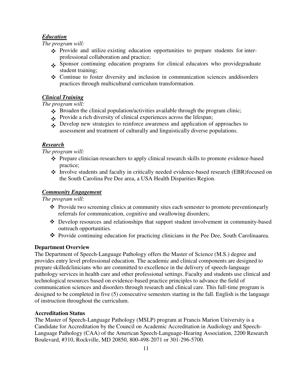## *Education*

*The program will:* 

- $\cdot \cdot$  Provide and utilize existing education opportunities to prepare students for interprofessional collaboration and practice;
- $\bullet$  Sponsor continuing education programs for clinical educators who provide graduate student training;
- $\triangle$  Continue to foster diversity and inclusion in communication sciences and disorders practices through multicultural curriculum transformation.

# *Clinical Training*

*The program will:* 

- Broaden the clinical population/activities available through the program clinic;
- $\bullet$  Provide a rich diversity of clinical experiences across the lifespan;
- Develop new strategies to reinforce awareness and application of approaches to assessment and treatment of culturally and linguistically diverse populations.

# *Research*

*The program will:* 

- $\triangle$  Prepare clinician-researchers to apply clinical research skills to promote evidence-based practice;
- $\div$  Involve students and faculty in critically needed evidence-based research (EBR) focused on the South Carolina Pee Dee area, a USA Health Disparities Region.

# *Community Engagement*

*The program will:* 

- $\triangle$  Provide two screening clinics at community sites each semester to promote preventionearly referrals for communication, cognitive and swallowing disorders;
- Develop resources and relationships that support student involvement in community-based outreach opportunities.
- \* Provide continuing education for practicing clinicians in the Pee Dee, South Carolina area.

## <span id="page-10-0"></span>**Department Overview**

The Department of Speech-Language Pathology offers the Master of Science (M.S.) degree and provides entry level professional education. The academic and clinical components are designed to prepare skilled clinicians who are committed to excellence in the delivery of speech-language pathology services in health care and other professional settings. Faculty and students use clinical and technological resources based on evidence-based practice principles to advance the field of communication sciences and disorders through research and clinical care. This full-time program is designed to be completed in five (5) consecutive semesters starting in the fall. English is the language of instruction throughout the curriculum.

## <span id="page-10-1"></span>**Accreditation Status**

The Master of Speech-Language Pathology (MSLP) program at Francis Marion University is a Candidate for Accreditation by the Council on Academic Accreditation in Audiology and Speech-Language Pathology (CAA) of the American Speech-Language-Hearing Association, 2200 Research Boulevard, #310, Rockville, MD 20850, 800-498-2071 or 301-296-5700.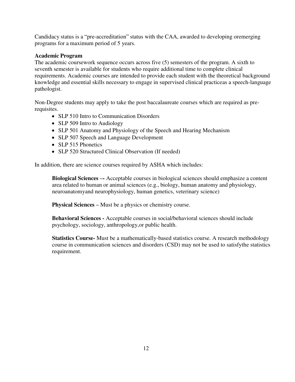Candidacy status is a "pre-accreditation" status with the CAA, awarded to developing oremerging programs for a maximum period of 5 years.

## <span id="page-11-0"></span>**Academic Program**

The academic coursework sequence occurs across five (5) semesters of the program. A sixth to seventh semester is available for students who require additional time to complete clinical requirements. Academic courses are intended to provide each student with the theoretical background knowledge and essential skills necessary to engage in supervised clinical practice as a speech-language pathologist.

Non-Degree students may apply to take the post baccalaureate courses which are required as prerequisites.

- SLP 510 Intro to Communication Disorders
- SLP 509 Intro to Audiology
- SLP 501 Anatomy and Physiology of the Speech and Hearing Mechanism
- SLP 507 Speech and Language Development
- SLP 515 Phonetics
- SLP 520 Structured Clinical Observation (If needed)

In addition, there are science courses required by ASHA which includes:

**Biological Sciences –-** Acceptable courses in biological sciences should emphasize a content area related to human or animal sciences (e.g., biology, human anatomy and physiology, neuroanatomy and neurophysiology, human genetics, veterinary science)

**Physical Sciences –** Must be a physics or chemistry course.

**Behavioral Sciences -** Acceptable courses in social/behavioral sciences should include psychology, sociology, anthropology, or public health.

**Statistics Course-** Must be a mathematically-based statistics course. A research methodology course in communication sciences and disorders (CSD) may not be used to satisfy the statistics requirement.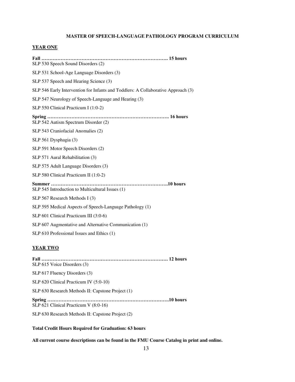#### **MASTER OF SPEECH-LANGUAGE PATHOLOGY PROGRAM CURRICULUM**

#### **YEAR ONE**

**Fall ……………………………………………………………………. 15 hours** SLP 530 Speech Sound Disorders (2) SLP 531 School-Age Language Disorders (3) SLP 537 Speech and Hearing Science (3) SLP 546 Early Intervention for Infants and Toddlers: A Collaborative Approach (3) SLP 547 Neurology of Speech-Language and Hearing (3) SLP 550 Clinical Practicum I (1:0-2) **Spring …………………………………………………………………. 16 hours** SLP 542 Autism Spectrum Disorder (2) SLP 543 Craniofacial Anomalies (2) SLP 561 Dysphagia (3) SLP 591 Motor Speech Disorders (2) SLP 571 Aural Rehabilitation (3) SLP 575 Adult Language Disorders (3) SLP 580 Clinical Practicum II (1:0-2) **Summer ……………………………………………………………….10 hours** SLP 545 Introduction to Multicultural Issues (1) SLP 567 Research Methods I (3) SLP 595 Medical Aspects of Speech-Language Pathology (1) SLP 601 Clinical Practicum III (3:0-6) SLP 607 Augmentative and Alternative Communication (1)

SLP 610 Professional Issues and Ethics (1)

#### **YEAR TWO**

**Fall ……………………………………………………………………. 12 hours** SLP 615 Voice Disorders (3) SLP 617 Fluency Disorders (3) SLP 620 Clinical Practicum IV (5:0-10) SLP 630 Research Methods II: Capstone Project (1) **Spring ………………………………………………………………….10 hours** SLP 621 Clinical Practicum V (8:0-16) SLP 630 Research Methods II: Capstone Project (2)

#### **Total Credit Hours Required for Graduation: 63 hours**

**All current course descriptions can be found in the FMU Course Catalog in print and online.**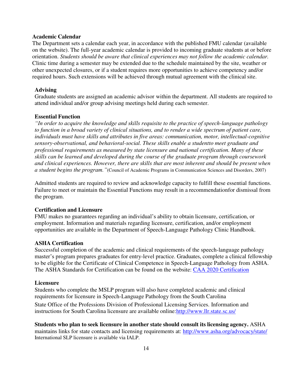#### <span id="page-13-0"></span>**Academic Calendar**

The Department sets a calendar each year, in accordance with the published FMU calendar (available on the website). The full-year academic calendar is provided to incoming graduate students at or before orientation. *Students should be aware that clinical experiences may not follow the academic calendar.*  Clinic time during a semester may be extended due to the schedule maintained by the site, weather or other unexpected closures, or if a student requires more opportunities to achieve competency and/or required hours. Such extensions will be achieved through mutual agreement with the clinical site.

#### <span id="page-13-1"></span>**Advising**

Graduate students are assigned an academic advisor within the department. All students are required to attend individual and/or group advising meetings held during each semester.

#### <span id="page-13-2"></span>**Essential Function**

*"In order to acquire the knowledge and skills requisite to the practice of speech-language pathology to function in a broad variety of clinical situations, and to render a wide spectrum of patient care, individuals must have skills and attributes in five areas: communication, motor, intellectual-cognitive sensory-observational, and behavioral-social. These skills enable a studentto meet graduate and professional requirements as measured by state licensure and national certification. Many of these skills can be learned and developed during the course of the graduate program through coursework and clinical experiences. However, there are skills that are most inherent and should be present when a student begins the program."*(Council of Academic Programs in Communication Sciences and Disorders, 2007)

Admitted students are required to review and acknowledge capacity to fulfill these essential functions. Failure to meet or maintain the Essential Functions may result in a recommendation for dismissal from the program.

#### <span id="page-13-3"></span>**Certification and Licensure**

FMU makes no guarantees regarding an individual's ability to obtain licensure, certification, or employment. Information and materials regarding licensure, certification, and/or employment opportunities are available in the Department of Speech-Language Pathology Clinic Handbook.

#### <span id="page-13-4"></span>**ASHA Certification**

Successful completion of the academic and clinical requirements of the speech-language pathology master's program prepares graduates for entry-level practice. Graduates, complete a clinical fellowship to be eligible for the Certificate of Clinical Competence in Speech-Language Pathology from ASHA. The ASHA Standards for Certification can be found on the website: [CAA 2020 Certification](https://www.asha.org/certification/2020-slp-certification-standards/) 

#### <span id="page-13-5"></span>**Licensure**

Students who complete the MSLP program will also have completed academic and clinical requirements for licensure in Speech-Language Pathology from the South Carolina State Office of the Professions Division of Professional Licensing Services. Information and instructions for South Carolina licensure are available online[: http://www.llr.state.sc.us/](http://www.llr.state.sc.us/)

**Students who plan to seek licensure in another state should consult its licensing agency.** ASHA maintains links for state contacts and licensing requirements at: http://www.asha.org/advocacy/state/ International SLP licensure is available via IALP.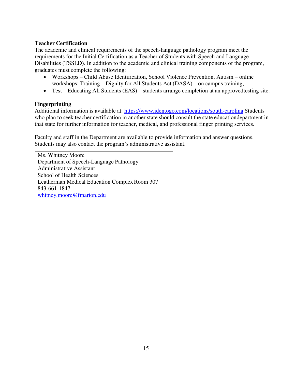# <span id="page-14-0"></span>**Teacher Certification**

The academic and clinical requirements of the speech-language pathology program meet the requirements for the Initial Certification as a Teacher of Students with Speech and Language Disabilities (TSSLD). In addition to the academic and clinical training components of the program, graduates must complete the following:

- Workshops Child Abuse Identification, School Violence Prevention, Autism online workshops; Training – Dignity for All Students Act (DASA) – on campus training;
- $\bullet$  Test Educating All Students (EAS) students arrange completion at an approved testing site.

## **Fingerprinting**

Additional information is available at:<https://www.identogo.com/locations/south-carolina>Students who plan to seek teacher certification in another state should consult the state education department in that state for further information for teacher, medical, and professional finger printing services.

Faculty and staff in the Department are available to provide information and answer questions. Students may also contact the program's administrative assistant.

Ms. Whitney Moore Department of Speech-Language Pathology Administrative Assistant School of Health Sciences Leatherman Medical Education Complex Room 307 843-661-1847 [whitney.moore@fmarion.edu](mailto:whitney.moore@fmarion.edu)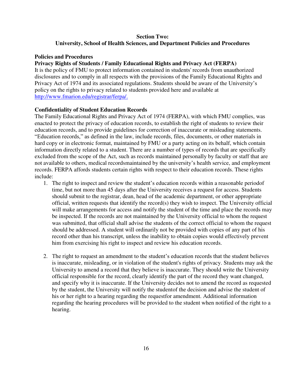# **Section Two: University, School of Health Sciences, and Department Policies and Procedures**

## **Policies and Procedures**

## **Privacy Rights of Students / Family Educational Rights and Privacy Act (FERPA)**

It is the policy of FMU to protect information contained in students' records from unauthorized disclosures and to comply in all respects with the provisions of the Family Educational Rights and Privacy Act of 1974 and its associated regulations. Students should be aware of the University's policy on the rights to privacy related to students provided here and available at [http://www.fmarion.edu/registrar/ferpa/.](http://www.fmarion.edu/registrar/ferpa/)

## **Confidentiality of Student Education Records**

The Family Educational Rights and Privacy Act of 1974 (FERPA), with which FMU complies, was enacted to protect the privacy of education records, to establish the right of students to review their education records, and to provide guidelines for correction of inaccurate or misleading statements. "Education records," as defined in the law, include records, files, documents, or other materials in hard copy or in electronic format, maintained by FMU or a party acting on its behalf, which contain information directly related to a student. There are a number of types of records that are specifically excluded from the scope of the Act, such as records maintained personally by faculty or staff that are not available to others, medical recordsmaintained by the university's health service, and employment records. FERPA affords students certain rights with respect to their education records. These rights include:

- 1. The right to inspect and review the student's education records within a reasonable period of time, but not more than 45 days after the University receives a request for access. Students should submit to the registrar, dean, head of the academic department, or other appropriate official, written requests that identify the record(s) they wish to inspect. The University official will make arrangements for access and notify the student of the time and place the records may be inspected. If the records are not maintained by the University official to whom the request was submitted, that official shall advise the students of the correct official to whom the request should be addressed. A student will ordinarily not be provided with copies of any part of his record other than his transcript, unless the inability to obtain copies would effectively prevent him from exercising his right to inspect and review his education records.
- 2. The right to request an amendment to the student's education records that the student believes is inaccurate, misleading, or in violation of the student's rights of privacy. Students may ask the University to amend a record that they believe is inaccurate. They should write the University official responsible for the record, clearly identify the part of the record they want changed, and specify why it is inaccurate. If the University decides not to amend the record as requested by the student, the University will notify the student of the decision and advise the student of his or her right to a hearing regarding the request for amendment. Additional information regarding the hearing procedures will be provided to the student when notified of the right to a hearing.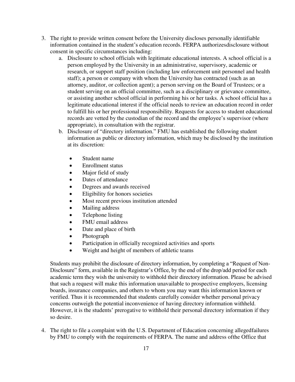- 3. The right to provide written consent before the University discloses personally identifiable information contained in the student's education records. FERPA authorizes disclosure without consent in specific circumstances including:
	- a. Disclosure to school officials with legitimate educational interests. A school official is a person employed by the University in an administrative, supervisory, academic or research, or support staff position (including law enforcement unit personnel and health staff); a person or company with whom the University has contracted (such as an attorney, auditor, or collection agent); a person serving on the Board of Trustees; or a student serving on an official committee, such as a disciplinary or grievance committee, or assisting another school official in performing his or her tasks. A school official has a legitimate educational interest if the official needs to review an education record in order to fulfill his or her professional responsibility. Requests for access to student educational records are vetted by the custodian of the record and the employee's supervisor (where appropriate), in consultation with the registrar.
	- b. Disclosure of "directory information." FMU has established the following student information as public or directory information, which may be disclosed by the institution at its discretion:
		- Student name
		- Enrollment status
		- Major field of study
		- Dates of attendance
		- Degrees and awards received
		- Eligibility for honors societies
		- Most recent previous institution attended
		- Mailing address
		- Telephone listing
		- FMU email address
		- Date and place of birth
		- Photograph
		- Participation in officially recognized activities and sports
		- Weight and height of members of athletic teams

Students may prohibit the disclosure of directory information, by completing a "Request of Non-Disclosure" form, available in the Registrar's Office, by the end of the drop/add period for each academic term they wish the university to withhold their directory information. Please be advised that such a request will make this information unavailable to prospective employers, licensing boards, insurance companies, and others to whom you may want this information known or verified. Thus it is recommended that students carefully consider whether personal privacy concerns outweigh the potential inconvenience of having directory information withheld. However, it is the students' prerogative to withhold their personal directory information if they so desire.

4. The right to file a complaint with the U.S. Department of Education concerning alleged failures by FMU to comply with the requirements of FERPA. The name and address of the Office that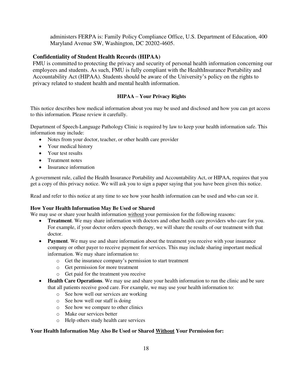administers FERPA is: Family Policy Compliance Office, U.S. Department of Education, 400 Maryland Avenue SW, Washington, DC 20202-4605.

## **Confidentiality of Student Health Records (HIPAA)**

FMU is committed to protecting the privacy and security of personal health information concerning our employees and students. As such, FMU is fully compliant with the Health Insurance Portability and Accountability Act (HIPAA). Students should be aware of the University's policy on the rights to privacy related to student health and mental health information.

## **HIPAA – Your Privacy Rights**

This notice describes how medical information about you may be used and disclosed and how you can get access to this information. Please review it carefully.

Department of Speech-Language Pathology Clinic is required by law to keep your health information safe. This information may include:

- Notes from your doctor, teacher, or other health care provider
- Your medical history
- Your test results
- Treatment notes
- Insurance information

A government rule, called the Health Insurance Portability and Accountability Act, or HIPAA, requires that you get a copy of this privacy notice. We will ask you to sign a paper saying that you have been given this notice.

Read and refer to this notice at any time to see how your health information can be used and who can see it.

#### **How Your Health Information May Be Used or Shared**

We may use or share your health information without your permission for the following reasons:

- **• Treatment**. We may share information with doctors and other health care providers who care for you. For example, if your doctor orders speech therapy, we will share the results of our treatment with that doctor.
- **Payment**. We may use and share information about the treatment you receive with your insurance company or other payer to receive payment for services. This may include sharing important medical information. We may share information to:
	- o Get the insurance company's permission to start treatment
	- o Get permission for more treatment
	- o Get paid for the treatment you receive
- **Health Care Operations**. We may use and share your health information to run the clinic and be sure that all patients receive good care. For example, we may use your health information to:
	- o See how well our services are working
	- o See how well our staff is doing
	- o See how we compare to other clinics
	- o Make our services better
	- o Help others study health care services

#### **Your Health Information May Also Be Used or Shared Without Your Permission for:**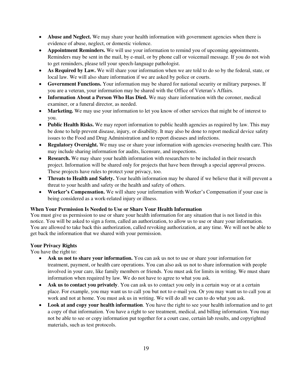- **Abuse and Neglect.** We may share your health information with government agencies when there is evidence of abuse, neglect, or domestic violence.
- **Appointment Reminders.** We will use your information to remind you of upcoming appointments. Reminders may be sent in the mail, by e-mail, or by phone call or voicemail message. If you do not wish to get reminders, please tell your speech-language pathologist.
- **As Required by Law.** We will share your information when we are told to do so by the federal, state, or local law. We will also share information if we are asked by police or courts.
- **Government Functions.** Your information may be shared for national security or military purposes. If you are a veteran, your information may be shared with the Office of Veteran's Affairs.
- **Information About a Person Who Has Died.** We may share information with the coroner, medical examiner, or a funeral director, as needed.
- Marketing. We may use your information to let you know of other services that might be of interest to you.
- Public Health Risks. We may report information to public health agencies as required by law. This may be done to help prevent disease, injury, or disability. It may also be done to report medical device safety issues to the Food and Drug Administration and to report diseases and infections.
- **Regulatory Oversight.** We may use or share your information with agencies overseeing health care. This may include sharing information for audits, licensure, and inspections.
- **Research.** We may share your health information with researchers to be included in their research project. Information will be shared only for projects that have been through a special approval process. These projects have rules to protect your privacy, too.
- **Threats to Health and Safety.** Your health information may be shared if we believe that it will prevent a threat to your health and safety or the health and safety of others.
- **Worker's Compensation.** We will share your information with Worker's Compensation if your case is being considered as a work-related injury or illness.

#### **When Your Permission Is Needed to Use or Share Your Health Information**

You must give us permission to use or share your health information for any situation that is not listed in this notice. You will be asked to sign a form, called an authorization, to allow us to use or share your information. You are allowed to take back this authorization, called revoking authorization, at any time. We will not be able to get back the information that we shared with your permission.

#### **Your Privacy Rights**

You have the right to:

- **Ask us not to share your information.** You can ask us not to use or share your information for treatment, payment, or health care operations. You can also ask us not to share information with people involved in your care, like family members or friends. You must ask for limits in writing. We must share information when required by law. We do not have to agree to what you ask.
- Ask us to contact you privately. You can ask us to contact you only in a certain way or at a certain place. For example, you may want us to call you but not to e-mail you. Or you may want us to call you at work and not at home. You must ask us in writing. We will do all we can to do what you ask.
- **Look at and copy your health information**. You have the right to see your health information and to get a copy of that information. You have a right to see treatment, medical, and billing information. You may not be able to see or copy information put together for a court case, certain lab results, and copyrighted materials, such as test protocols.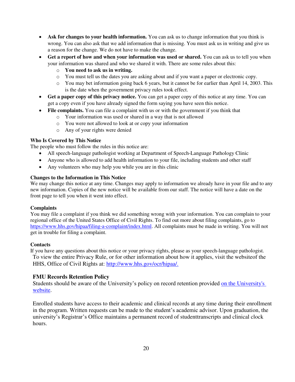- Ask for changes to your health information. You can ask us to change information that you think is wrong. You can also ask that we add information that is missing. You must ask us in writing and give us a reason for the change. We do not have to make the change.
- **Get a report of how and when your information was used or shared.** You can ask us to tell you when your information was shared and who we shared it with. There are some rules about this:
	- o **You need to ask us in writing.**
	- o You must tell us the dates you are asking about and if you want a paper or electronic copy.
	- o You may bet information going back 6 years, but it cannot be for earlier than April 14, 2003. This is the date when the government privacy rules took effect.
- **Get a paper copy of this privacy notice.** You can get a paper copy of this notice at any time. You can get a copy even if you have already signed the form saying you have seen this notice.
- **File complaints.** You can file a complaint with us or with the government if you think that
	- o Your information was used or shared in a way that is not allowed
	- o You were not allowed to look at or copy your information
	- o Any of your rights were denied

#### **Who Is Covered by This Notice**

The people who must follow the rules in this notice are:

- All speech-language pathologist working at Department of Speech-Language Pathology Clinic
- Anyone who is allowed to add health information to your file, including students and other staff
- Any volunteers who may help you while you are in this clinic

#### **Changes to the Information in This Notice**

We may change this notice at any time. Changes may apply to information we already have in your file and to any new information. Copies of the new notice will be available from our staff. The notice will have a date on the front page to tell you when it went into effect.

#### **Complaints**

You may file a complaint if you think we did something wrong with your information. You can complain to your regional office of the United States Office of Civil Rights. To find out more about filing complaints, go to [https://www.hhs.gov/hipaa/filing-a-complaint/index.html.](https://www.hhs.gov/hipaa/filing-a-complaint/index.html) All complaints must be made in writing. You will not get in trouble for filing a complaint.

#### **Contacts**

If you have any questions about this notice or your privacy rights, please as your speech-language pathologist. To view the entire Privacy Rule, or for other information about how it applies, visit the website of the HHS, Office of Civil Rights at: [http://www.hhs.gov/ocr/hipaa/.](http://www.hhs.gov/ocr/hipaa/)

#### **FMU Records Retention Policy**

Students should be aware of the University's policy on record retention provided on the University's [website.](https://www.fmarion.edu/wp-content/uploads/2016/07/FMUFERPAPolicyStatement.pdf)

Enrolled students have access to their academic and clinical records at any time during their enrollment in the program. Written requests can be made to the student's academic advisor. Upon graduation, the university's Registrar's Office maintains a permanent record of student transcripts and clinical clock hours.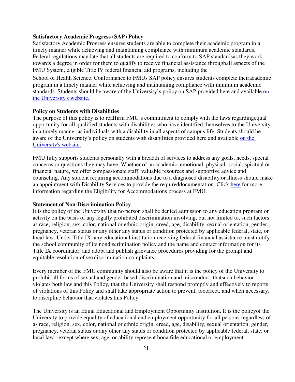#### **Satisfactory Academic Progress (SAP) Policy**

Satisfactory Academic Progress ensures students are able to complete their academic program in a timely manner while achieving and maintaining compliance with minimum academic standards. Federal regulations mandate that all students are required to conform to SAP standards as they work towards a degree in order for them to qualify to receive financial assistance throughall aspects of the FMU System, eligible Title IV federal financial aid programs, including the

School of Health Science. Conformance to FMUs SAP policy ensures students complete their academic program in a timely manner while achieving and maintaining compliance with minimum academic standards. Students should be aware of the University's policy on SAP provided here and available [on](http://www.fmarion.edu/policies/#financialassistance)  [the University's website.](http://www.fmarion.edu/policies/#financialassistance)

#### **Policy on Students with Disabilities**

The purpose of this policy is to reaffirm FMU's commitment to comply with the laws regarding equal opportunity for all qualified students with disabilities who have identified themselves to the University in a timely manner as individuals with a disability in all aspects of campus life. Students should be aware of the University's policy on students with disabilities provided here and available [on the](http://www.fmarion.edu/counselingandtesting/#disabilityservices)  [University's website.](http://www.fmarion.edu/counselingandtesting/#disabilityservices)

FMU fully supports students personally with a breadth of services to address any goals, needs, special concerns or questions they may have. Whether of an academic, emotional, physical, social, spiritual or financial nature, we offer compassionate staff, valuable resources and supportive advice and counseling. Any student requiring accommodations due to a diagnosed disability or illness should make an appointment with Disability Services to provide the required documentation. Click [here](http://www.fmarion.edu/counselingandtesting/#disabilityservices) for more information regarding the Eligibility for Accommodations process at FMU.

#### **Statement of Non-Discrimination Policy**

It is the policy of the University that no person shall be denied admission to any education program or activity on the basis of any legally prohibited discrimination involving, but not limited to, such factors as race, religion, sex, color, national or ethnic origin, creed, age, disability, sexual orientation, gender, pregnancy, veteran status or any other any status or condition protected by applicable federal, state, or local law. Under Title IX, any educational institution receiving federal financial assistance must notify the school community of its nondiscrimination policy and the name and contact information for its Title IX coordinator, and adopt and publish grievance procedures providing for the prompt and equitable resolution of sex discrimination complaints.

Every member of the FMU community should also be aware that it is the policy of the University to prohibit all forms of sexual and gender-based discrimination and misconduct, that such behavior violates both law and this Policy, that the University shall respond promptly and effectively to reports of violations of this Policy and shall take appropriate action to prevent, to correct, and when necessary, to discipline behavior that violates this Policy.

The University is an Equal Educational and Employment Opportunity Institution. It is the policy of the University to provide equality of educational and employment opportunity for all persons regardless of as race, religion, sex, color, national or ethnic origin, creed, age, disability, sexual orientation, gender, pregnancy, veteran status or any other any status or condition protected by applicable federal, state, or local law - except where sex, age, or ability represent bona fide educational or employment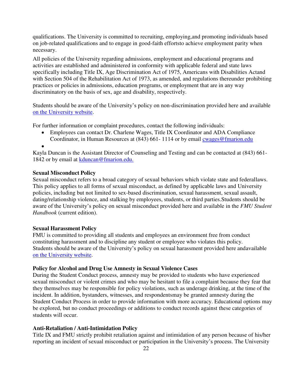qualifications. The University is committed to recruiting, employing, and promoting individuals based on job-related qualifications and to engage in good-faith efforts to achieve employment parity when necessary.

All policies of the University regarding admissions, employment and educational programs and activities are established and administered in conformity with applicable federal and state laws specifically including Title IX, Age Discrimination Act of 1975, Americans with Disabilities Actand with Section 504 of the Rehabilitation Act of 1973, as amended, and regulations thereunder prohibiting practices or policies in admissions, education programs, or employment that are in any way discriminatory on the basis of sex, age and disability, respectively.

Students should be aware of the University's policy on non-discrimination provided here and available [on the University website.](https://www.fmarion.edu/administration/equalopportunityandaffirm/)

For further information or complaint procedures, contact the following individuals:

 Employees can contact Dr. Charlene Wages, Title IX Coordinator and ADA Compliance Coordinator, in Human Resources at (843) 661-1114 or by email [cwages@fmarion.edu](mailto:cwages@fmarion.edu)

 $\bullet$ 

Kayla Duncan is the Assistant Director of Counseling and Testing and can be contacted at (843) 661- 1842 or by email at [kduncan@fmarion.edu.](mailto:kduncan@fmarion.edu.)

#### **Sexual Misconduct Policy**

Sexual misconduct refers to a broad category of sexual behaviors which violate state and federal laws. This policy applies to all forms of sexual misconduct, as defined by applicable laws and University policies, including but not limited to sex-based discrimination, sexual harassment, sexual assault, dating/relationship violence, and stalking by employees, students, or third parties. Students should be aware of the University's policy on sexual misconduct provided here and available in the *FMU Student Handbook* (current edition).

## **Sexual Harassment Policy**

FMU is committed to providing all students and employees an environment free from conduct constituting harassment and to discipline any student or employee who violates this policy. Students should be aware of the University's policy on sexual harassment provided here and available [on the University website.](https://www.fmarion.edu/administration/sexualmisconduct/)

#### **Policy for Alcohol and Drug Use Amnesty in Sexual Violence Cases**

During the Student Conduct process, amnesty may be provided to students who have experienced sexual misconduct or violent crimes and who may be hesitant to file a complaint because they fear that they themselves may be responsible for policy violations, such as underage drinking, at the time of the incident. In addition, bystanders, witnesses, and respondents may be granted amnesty during the Student Conduct Process in order to provide information with more accuracy. Educational options may be explored, but no conduct proceedings or additions to conduct records against these categories of students will occur.

## **Anti-Retaliation / Anti-Intimidation Policy**

Title IX and FMU strictly prohibit retaliation against and intimidation of any person because of his/her reporting an incident of sexual misconduct or participation in the University's process. The University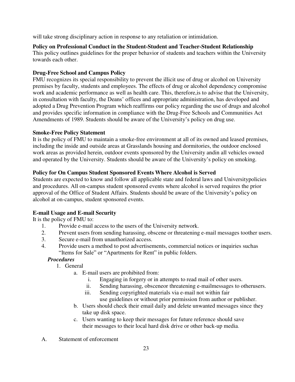will take strong disciplinary action in response to any retaliation or intimidation.

**Policy on Professional Conduct in the Student-Student and Teacher-Student Relationship**  This policy outlines guidelines for the proper behavior of students and teachers within the University towards each other.

## **Drug-Free School and Campus Policy**

FMU recognizes its special responsibility to prevent the illicit use of drug or alcohol on University premises by faculty, students and employees. The effects of drug or alcohol dependency compromise work and academic performance as well as health care. This, therefore, is to advise that the University, in consultation with faculty, the Deans' offices and appropriate administration, has developed and adopted a Drug Prevention Program which reaffirms our policy regarding the use of drugs and alcohol and provides specific information in compliance with the Drug-Free Schools and Communities Act Amendments of 1989. Students should be aware of the University's policy on drug use.

## **Smoke-Free Policy Statement**

It is the policy of FMU to maintain a smoke-free environment at all of its owned and leased premises, including the inside and outside areas at Grasslands housing and dormitories, the outdoor enclosed work areas as provided herein, outdoor events sponsored by the University and in all vehicles owned and operated by the University. Students should be aware of the University's policy on smoking.

## **Policy for On Campus Student Sponsored Events Where Alcohol is Served**

Students are expected to know and follow all applicable state and federal laws and University policies and procedures. All on-campus student sponsored events where alcohol is served requires the prior approval of the Office of Student Affairs. Students should be aware of the University's policy on alcohol at on-campus, student sponsored events.

# **E-mail Usage and E-mail Security**

It is the policy of FMU to:

- 1. Provide e-mail access to the users of the University network.
- 2. Prevent users from sending harassing, obscene or threatening e-mail messages toother users.
- 3. Secure e-mail from unauthorized access.
- 4. Provide users a method to post advertisements, commercial notices or inquiries such as "Items for Sale" or "Apartments for Rent" in public folders.

## *Procedures*

- 1. General
	- a. E-mail users are prohibited from:
		- i. Engaging in forgery or in attempts to read mail of other users.
		- ii. Sending harassing, obsceneor threatening e-mailmessages to otherusers.
		- iii. Sending copyrighted materials via e-mail not within fair use guidelines or without prior permission from author or publisher.
	- b. Users should check their email daily and delete unwanted messages since they take up disk space.
	- c. Users wanting to keep their messages for future reference should save their messages to their local hard disk drive or other back-up media.
- A. Statement of enforcement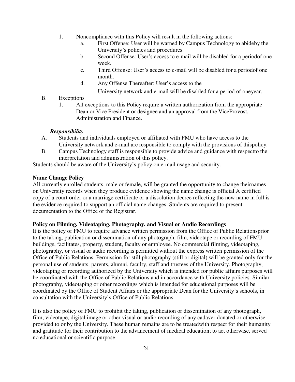- 1. Noncompliance with this Policy will result in the following actions:
	- a. First Offense: User will be warned by Campus Technology to abide by the University's policies and procedures.
	- b. Second Offense: User's access to e-mail will be disabled for a period of one week.
	- c. Third Offense: User's access to e-mail will be disabled for a period of one month.
	- d. Any Offense Thereafter: User's access to the

University network and e-mail will be disabled for a period of one year.

- B. Exceptions
	- 1. All exceptions to this Policy require a written authorization from the appropriate Dean or Vice President or designee and an approval from the Vice Provost, Administration and Finance.

#### *Responsibility*

- A. Students and individuals employed or affiliated with FMU who have access to the University network and e-mail are responsible to comply with the provisions of this policy.
- B. Campus Technology staff is responsible to provide advice and guidance with respect to the interpretation and administration of this policy.

Students should be aware of the University's policy on e-mail usage and security.

## **Name Change Policy**

All currently enrolled students, male or female, will be granted the opportunity to change their names on University records when they produce evidence showing the name change is official. A certified copy of a court order or a marriage certificate or a dissolution decree reflecting the new name in full is the evidence required to support an official name changes. Students are required to present documentation to the Office of the Registrar.

## **Policy on Filming, Videotaping, Photography, and Visual or Audio Recordings**

It is the policy of FMU to require advance written permission from the Office of Public Relations prior to the taking, publication or dissemination of any photograph, film, videotape or recording of FMU buildings, facilitates, property, student, faculty or employee. No commercial filming, videotaping, photography, or visual or audio recording is permitted without the express written permission of the Office of Public Relations. Permission for still photography (still or digital) will be granted only for the personal use of students, parents, alumni, faculty, staff and trustees of the University. Photography, videotaping or recording authorized by the University which is intended for public affairs purposes will be coordinated with the Office of Public Relations and in accordance with University policies. Similar photography, videotaping or other recordings which is intended for educational purposes will be coordinated by the Office of Student Affairs or the appropriate Dean for the University's schools, in consultation with the University's Office of Public Relations.

It is also the policy of FMU to prohibit the taking, publication or dissemination of any photograph, film, videotape, digital image or other visual or audio recording of any cadaver donated or otherwise provided to or by the University. These human remains are to be treated with respect for their humanity and gratitude for their contribution to the advancement of medical education; to act otherwise, served no educational or scientific purpose.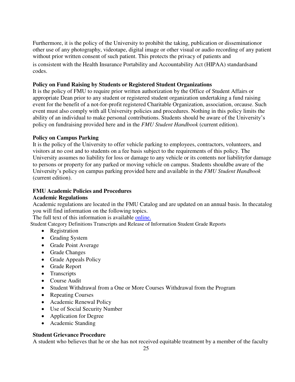Furthermore, it is the policy of the University to prohibit the taking, publication or dissemination or other use of any photography, videotape, digital image or other visual or audio recording of any patient without prior written consent of such patient. This protects the privacy of patients and is consistent with the Health Insurance Portability and Accountability Act (HIPAA) standards and codes.

## **Policy on Fund Raising by Students or Registered Student Organizations**

It is the policy of FMU to require prior written authorization by the Office of Student Affairs or appropriate Dean prior to any student or registered student organization undertaking a fund raising event for the benefit of a not-for-profit registered Charitable Organization, association, or cause. Such event must also comply with all University policies and procedures. Nothing in this policy limits the ability of an individual to make personal contributions. Students should be aware of the University's policy on fundraising provided here and in the *FMU Student Handbook* (current edition).

# **Policy on Campus Parking**

It is the policy of the University to offer vehicle parking to employees, contractors, volunteers, and visitors at no cost and to students on a fee basis subject to the requirements of this policy. The University assumes no liability for loss or damage to any vehicle or its contents nor liability for damage to persons or property for any parked or moving vehicle on campus. Students should be aware of the University's policy on campus parking provided here and available in the *FMU Student Handbook*  (current edition).

# **FMU Academic Policies and Procedures**

## **Academic Regulations**

Academic regulations are located in the FMU Catalog and are updated on an annual basis. In the catalog you will find information on the following topics.

The full text of this information is available [online.](https://www.fmarion.edu/wp-content/uploads/2020/06/Final-Catalog-2020-21-1_25.pdf)

Student Category Definitions Transcripts and Release of Information Student Grade Reports

- Registration
- Grading System
- Grade Point Average
- Grade Changes
- Grade Appeals Policy
- Grade Report
- Transcripts
- Course Audit
- Student Withdrawal from a One or More Courses Withdrawal from the Program
- Repeating Courses
- Academic Renewal Policy
- Use of Social Security Number
- Application for Degree
- Academic Standing

## **Student Grievance Procedure**

A student who believes that he or she has not received equitable treatment by a member of the faculty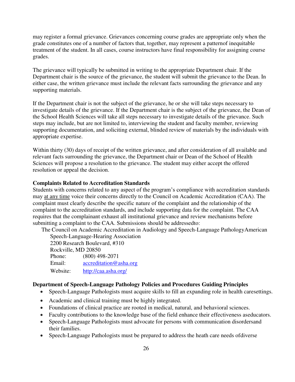may register a formal grievance. Grievances concerning course grades are appropriate only when the grade constitutes one of a number of factors that, together, may represent a pattern of inequitable treatment of the student. In all cases, course instructors have final responsibility for assigning course grades.

The grievance will typically be submitted in writing to the appropriate Department chair. If the Department chair is the source of the grievance, the student will submit the grievance to the Dean. In either case, the written grievance must include the relevant facts surrounding the grievance and any supporting materials.

If the Department chair is not the subject of the grievance, he or she will take steps necessary to investigate details of the grievance. If the Department chair is the subject of the grievance, the Dean of the School Health Sciences will take all steps necessary to investigate details of the grievance. Such steps may include, but are not limited to, interviewing the student and faculty member, reviewing supporting documentation, and soliciting external, blinded review of materials by the individuals with appropriate expertise.

Within thirty (30) days of receipt of the written grievance, and after consideration of all available and relevant facts surrounding the grievance, the Department chair or Dean of the School of Health Sciences will propose a resolution to the grievance. The student may either accept the offered resolution or appeal the decision.

#### **Complaints Related to Accreditation Standards**

Students with concerns related to any aspect of the program's compliance with accreditation standards may at any time voice their concerns directly to the Council on Academic Accreditation (CAA). The complaint must clearly describe the specific nature of the complaint and the relationship of the complaint to the accreditation standards, and include supporting data for the complaint. The CAA requires that the complainant exhaust all institutional grievance and review mechanisms before submitting a complaint to the CAA. Submissions should be addressed to:

The Council on Academic Accreditation in Audiology and Speech-Language Pathology American Speech-Language-Hearing Association

2200 Research Boulevard, #310 Rockville, MD 20850 Phone: (800) 498-2071 Email: [accreditation@asha.org](mailto:accreditation@asha.org) Website: <http://caa.asha.org/>

#### **Department of Speech-Language Pathology Policies and Procedures Guiding Principles**

- Speech-Language Pathologists must acquire skills to fill an expanding role in health caresettings.
- Academic and clinical training must be highly integrated.
- Foundations of clinical practice are rooted in medical, natural, and behavioral sciences.
- Faculty contributions to the knowledge base of the field enhance their effectiveness as educators.
- Speech-Language Pathologists must advocate for persons with communication disorders and their families.
- Speech-Language Pathologists must be prepared to address the heath care needs of diverse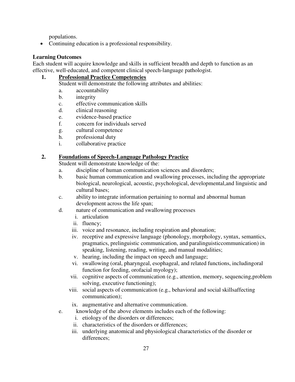populations.

• Continuing education is a professional responsibility.

## **Learning Outcomes**

Each student will acquire knowledge and skills in sufficient breadth and depth to function as an effective, well-educated, and competent clinical speech-language pathologist.

# **1. Professional Practice Competencies**

Student will demonstrate the following attributes and abilities:

- a. accountability
- b. integrity
- c. effective communication skills
- d. clinical reasoning
- e. evidence-based practice
- f. concern for individuals served
- g. cultural competence
- h. professional duty
- i. collaborative practice

# **2. Foundations of Speech-Language Pathology Practice**

Student will demonstrate knowledge of the:

- a. discipline of human communication sciences and disorders;
- b. basic human communication and swallowing processes, including the appropriate biological, neurological, acoustic, psychological, developmental, and linguistic and cultural bases;
- c. ability to integrate information pertaining to normal and abnormal human development across the life span;
- d. nature of communication and swallowing processes
	- i. articulation
	- ii. fluency;
	- iii. voice and resonance, including respiration and phonation;
	- iv. receptive and expressive language (phonology, morphology, syntax, semantics, pragmatics, prelinguistic communication, and paralinguistic communication) in speaking, listening, reading, writing, and manual modalities;
	- v. hearing, including the impact on speech and language;
	- vi. swallowing (oral, pharyngeal, esophageal, and related functions, including oral function for feeding, orofacial myology);
	- vii. cognitive aspects of communication (e.g., attention, memory, sequencing, problem solving, executive functioning);
	- viii. social aspects of communication (e.g., behavioral and social skills affecting communication);
	- ix. augmentative and alternative communication.
- e. knowledge of the above elements includes each of the following:
	- i. etiology of the disorders or differences;
	- ii. characteristics of the disorders or differences;
	- iii. underlying anatomical and physiological characteristics of the disorder or differences;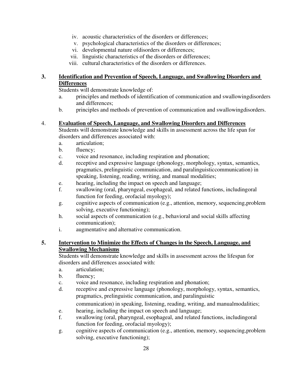- iv. acoustic characteristics of the disorders or differences;
- v. psychological characteristics of the disorders or differences;
- vi. developmental nature of disorders or differences;
- vii. linguistic characteristics of the disorders or differences;
- viii. cultural characteristics of the disorders or differences.

## **3. Identification and Prevention of Speech, Language, and Swallowing Disorders and Differences**

Students will demonstrate knowledge of:

- a. principles and methods of identification of communication and swallowing disorders and differences;
- b. principles and methods of prevention of communication and swallowing disorders.

## 4. **Evaluation of Speech, Language, and Swallowing Disorders and Differences**

Students will demonstrate knowledge and skills in assessment across the life span for disorders and differences associated with:

- a. articulation;
- b. fluency;
- c. voice and resonance, including respiration and phonation;
- d. receptive and expressive language (phonology, morphology, syntax, semantics, pragmatics, prelinguistic communication, and paralinguistic communication) in speaking, listening, reading, writing, and manual modalities;
- e. hearing, including the impact on speech and language;
- f. swallowing (oral, pharyngeal, esophageal, and related functions, including oral function for feeding, orofacial myology);
- g. cognitive aspects of communication (e.g., attention, memory, sequencing, problem solving, executive functioning);
- h. social aspects of communication (e.g., behavioral and social skills affecting communication);
- i. augmentative and alternative communication.

# **5. Intervention to Minimize the Effects of Changes in the Speech, Language, and Swallowing Mechanisms**

Students will demonstrate knowledge and skills in assessment across the lifespan for disorders and differences associated with:

- a. articulation;
- b. fluency;
- c. voice and resonance, including respiration and phonation;
- d. receptive and expressive language (phonology, morphology, syntax, semantics, pragmatics, prelinguistic communication, and paralinguistic

communication) in speaking, listening, reading, writing, and manual modalities;

- e. hearing, including the impact on speech and language;
- f. swallowing (oral, pharyngeal, esophageal, and related functions, including oral function for feeding, orofacial myology);
- g. cognitive aspects of communication (e.g., attention, memory, sequencing, problem solving, executive functioning);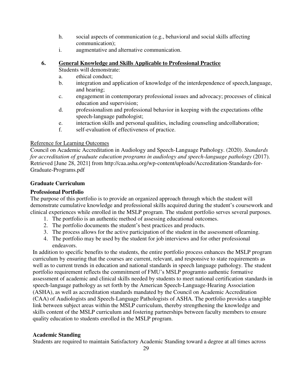- h. social aspects of communication (e.g., behavioral and social skills affecting communication);
- i. augmentative and alternative communication.

# **6. General Knowledge and Skills Applicable to Professional Practice**

- Students will demonstrate:
- a. ethical conduct;
- b. integration and application of knowledge of the interdependence of speech, language, and hearing;
- c. engagement in contemporary professional issues and advocacy; processes of clinical education and supervision;
- d. professionalism and professional behavior in keeping with the expectations of the speech-language pathologist;
- e. interaction skills and personal qualities, including counseling and collaboration;
- f. self-evaluation of effectiveness of practice.

## Reference for Learning Outcomes

Council on Academic Accreditation in Audiology and Speech-Language Pathology. (2020). *Standards for accreditation of graduate education programs in audiology and speech-language pathology* (2017). Retrieved [June 28, 2021] from http://caa.asha.org/wp-content/uploads/Accreditation-Standards-for-Graduate-Programs.pdf

# **Graduate Curriculum**

# **Professional Portfolio**

The purpose of this portfolio is to provide an organized approach through which the student will demonstrate cumulative knowledge and professional skills acquired during the student's coursework and clinical experiences while enrolled in the MSLP program. The student portfolio serves several purposes.

- 1. The portfolio is an authentic method of assessing educational outcomes.
- 2. The portfolio documents the student's best practices and products.
- 3. The process allows for the active participation of the student in the assessment of learning.
- 4. The portfolio may be used by the student for job interviews and for other professional endeavors.

In addition to specific benefits to the students, the entire portfolio process enhances the MSLP program curriculum by ensuring that the courses are current, relevant, and responsive to state requirements as well as to current trends in education and national standards in speech language pathology. The student portfolio requirement reflects the commitment of FMU's MSLP programto authentic formative assessment of academic and clinical skills needed by students to meet national certification standards in speech-language pathology as set forth by the American Speech-Language-Hearing Association (ASHA), as well as accreditation standards mandated by the Council on Academic Accreditation (CAA) of Audiologists and Speech-Language Pathologists of ASHA. The portfolio provides a tangible link between subject areas within the MSLP curriculum, thereby strengthening the knowledge and skills content of the MSLP curriculum and fostering partnerships between faculty members to ensure quality education to students enrolled in the MSLP program.

# **Academic Standing**

Students are required to maintain Satisfactory Academic Standing toward a degree at all times across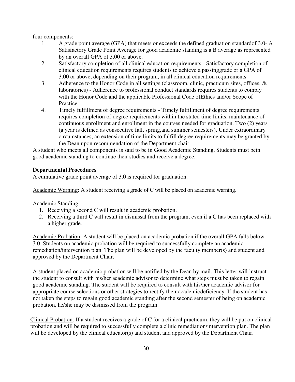four components:

- 1. A grade point average (GPA) that meets or exceeds the defined graduation standard of 3.0- A Satisfactory Grade Point Average for good academic standing is a B average as represented by an overall GPA of 3.00 or above.
- 2. Satisfactory completion of all clinical education requirements Satisfactory completion of clinical education requirements requires students to achieve a passing grade or a GPA of 3.00 or above, depending on their program, in all clinical education requirements.
- 3. Adherence to the Honor Code in all settings (classroom, clinic, practicum sites, offices, & laboratories) - Adherence to professional conduct standards requires students to comply with the Honor Code and the applicable Professional Code of Ethics and/or Scope of Practice.
- 4. Timely fulfillment of degree requirements Timely fulfillment of degree requirements requires completion of degree requirements within the stated time limits, maintenance of continuous enrollment and enrollment in the courses needed for graduation. Two (2) years (a year is defined as consecutive fall, spring, and summer semesters). Under extraordinary circumstances, an extension of time limits to fulfill degree requirements may be granted by the Dean upon recommendation of the Department chair.

A student who meets all components is said to be in Good Academic Standing. Students must bein good academic standing to continue their studies and receive a degree.

# **Departmental Procedures**

A cumulative grade point average of 3.0 is required for graduation.

Academic Warning: A student receiving a grade of C will be placed on academic warning.

Academic Standing

- 1. Receiving a second C will result in academic probation.
- 2. Receiving a third C will result in dismissal from the program, even if a C has been replaced with a higher grade.

Academic Probation: A student will be placed on academic probation if the overall GPA falls below 3.0. Students on academic probation will be required to successfully complete an academic remediation/intervention plan. The plan will be developed by the faculty member(s) and student and approved by the Department Chair.

A student placed on academic probation will be notified by the Dean by mail. This letter will instruct the student to consult with his/her academic advisor to determine what steps must be taken to regain good academic standing. The student will be required to consult with his/her academic advisor for appropriate course selections or other strategies to rectify their academic deficiency. If the student has not taken the steps to regain good academic standing after the second semester of being on academic probation, he/she may be dismissed from the program.

Clinical Probation: If a student receives a grade of C for a clinical practicum, they will be put on clinical probation and will be required to successfully complete a clinic remediation/intervention plan. The plan will be developed by the clinical educator(s) and student and approved by the Department Chair.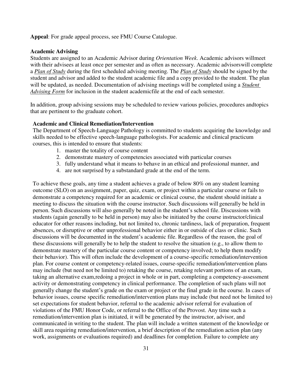**Appeal**: For grade appeal process, see FMU Course Catalogue.

#### **Academic Advising**

Students are assigned to an Academic Advisor during *Orientation Week*. Academic advisors willmeet with their advisees at least once per semester and as often as necessary. Academic advisors will complete a *Plan of Study* during the first scheduled advising meeting. The *Plan of Study* should be signed by the student and advisor and added to the student academic file and a copy provided to the student. The plan will be updated, as needed. Documentation of advising meetings will be completed using a *Student Advising Form* for inclusion in the student academic file at the end of each semester.

In addition, group advising sessions may be scheduled to review various policies, procedures and topics that are pertinent to the graduate cohort.

#### **Academic and Clinical Remediation/Intervention**

The Department of Speech-Language Pathology is committed to students acquiring the knowledge and skills needed to be effective speech-language pathologists. For academic and clinical practicum courses, this is intended to ensure that students:

- 1. master the totality of course content
- 2. demonstrate mastery of competencies associated with particular courses
- 3. fully understand what it means to behave in an ethical and professional manner, and
- 4. are not surprised by a substandard grade at the end of the term.

To achieve these goals, any time a student achieves a grade of below 80% on any student learning outcome (SLO) on an assignment, paper, quiz, exam, or project within a particular course or fails to demonstrate a competency required for an academic or clinical course, the student should initiate a meeting to discuss the situation with the course instructor. Such discussions will generally be held in person. Such discussions will also generally be noted in the student's school file. Discussions with students (again generally to be held in person) may also be initiated by the course instructor/clinical educator for other reasons including, but not limited to, chronic tardiness, lack of preparation, frequent absences, or disruptive or other unprofessional behavior either in or outside of class or clinic. Such discussions will be documented in the student's academic file. Regardless of the reason, the goal of these discussions will generally be to help the student to resolve the situation (e.g., to allow them to demonstrate mastery of the particular course content or competency involved; to help them modify their behavior). This will often include the development of a course-specific remediation/intervention plan. For course content or competency-related issues, course-specific remediation/intervention plans may include (but need not be limited to) retaking the course, retaking relevant portions of an exam, taking an alternative exam, redoing a project in whole or in part, completing a competency-assessment activity or demonstrating competency in clinical performance. The completion of such plans will not generally change the student's grade on the exam or project or the final grade in the course. In cases of behavior issues, course specific remediation/intervention plans may include (but need not be limited to) set expectations for student behavior, referral to the academic advisor referral for evaluation of violations of the FMU Honor Code, or referral to the Office of the Provost. Any time such a remediation/intervention plan is initiated, it will be generated by the instructor, advisor, and communicated in writing to the student. The plan will include a written statement of the knowledge or skill area requiring remediation/intervention, a brief description of the remediation action plan (any work, assignments or evaluations required) and deadlines for completion. Failure to complete any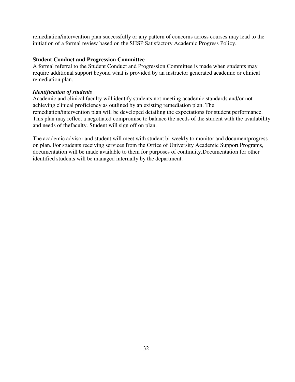remediation/intervention plan successfully or any pattern of concerns across courses may lead to the initiation of a formal review based on the SHSP Satisfactory Academic Progress Policy.

## **Student Conduct and Progression Committee**

A formal referral to the Student Conduct and Progression Committee is made when students may require additional support beyond what is provided by an instructor generated academic or clinical remediation plan.

## *Identification of students*

Academic and clinical faculty will identify students not meeting academic standards and/or not achieving clinical proficiency as outlined by an existing remediation plan. The remediation/intervention plan will be developed detailing the expectations for student performance. This plan may reflect a negotiated compromise to balance the needs of the student with the availability and needs of the faculty. Student will sign off on plan.

<span id="page-31-0"></span>The academic advisor and student will meet with student bi-weekly to monitor and document progress on plan. For students receiving services from the Office of University Academic Support Programs, documentation will be made available to them for purposes of continuity. Documentation for other identified students will be managed internally by the department.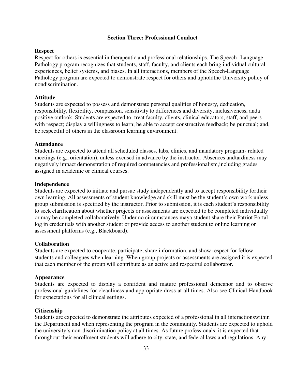## **Section Three: Professional Conduct**

## <span id="page-32-1"></span><span id="page-32-0"></span>**Respect**

Respect for others is essential in therapeutic and professional relationships. The Speech- Language Pathology program recognizes that students, staff, faculty, and clients each bring individual cultural experiences, belief systems, and biases. In all interactions, members of the Speech-Language Pathology program are expected to demonstrate respect for others and uphold the University policy of nondiscrimination.

#### <span id="page-32-2"></span>**Attitude**

Students are expected to possess and demonstrate personal qualities of honesty, dedication, responsibility, flexibility, compassion, sensitivity to differences and diversity, inclusiveness, and a positive outlook. Students are expected to: treat faculty, clients, clinical educators, staff, and peers with respect; display a willingness to learn; be able to accept constructive feedback; be punctual; and, be respectful of others in the classroom learning environment.

#### <span id="page-32-3"></span>**Attendance**

Students are expected to attend all scheduled classes, labs, clinics, and mandatory program- related meetings (e.g., orientation), unless excused in advance by the instructor. Absences and tardiness may negatively impact demonstration of required competencies and professionalism, including grades assigned in academic or clinical courses.

#### <span id="page-32-4"></span>**Independence**

Students are expected to initiate and pursue study independently and to accept responsibility for their own learning. All assessments of student knowledge and skill must be the student's own work unless group submission is specified by the instructor. Prior to submission, it is each student's responsibility to seek clarification about whether projects or assessments are expected to be completed individually or may be completed collaboratively. Under no circumstances may a student share their Patriot Portal log in credentials with another student or provide access to another student to online learning or assessment platforms (e.g., Blackboard).

## <span id="page-32-5"></span>**Collaboration**

Students are expected to cooperate, participate, share information, and show respect for fellow students and colleagues when learning. When group projects or assessments are assigned it is expected that each member of the group will contribute as an active and respectful collaborator.

#### <span id="page-32-6"></span>**Appearance**

Students are expected to display a confident and mature professional demeanor and to observe professional guidelines for cleanliness and appropriate dress at all times. Also see Clinical Handbook for expectations for all clinical settings.

#### <span id="page-32-7"></span>**Citizenship**

Students are expected to demonstrate the attributes expected of a professional in all interactions within the Department and when representing the program in the community. Students are expected to uphold the university's non-discrimination policy at all times. As future professionals, it is expected that throughout their enrollment students will adhere to city, state, and federal laws and regulations. Any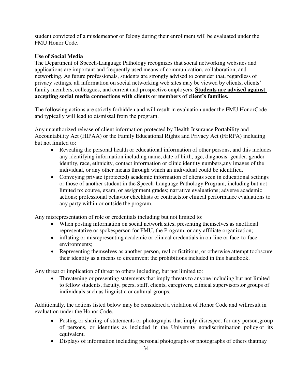student convicted of a misdemeanor or felony during their enrollment will be evaluated under the FMU Honor Code.

# <span id="page-33-0"></span>**Use of Social Media**

The Department of Speech-Language Pathology recognizes that social networking websites and applications are important and frequently used means of communication, collaboration, and networking. As future professionals, students are strongly advised to consider that, regardless of privacy settings, all information on social networking web sites may be viewed by clients, clients' family members, colleagues, and current and prospective employers. **Students are advised against accepting social media connections with clients or members of client's families.**

The following actions are strictly forbidden and will result in evaluation under the FMU Honor Code and typically will lead to dismissal from the program.

Any unauthorized release of client information protected by Health Insurance Portability and Accountability Act (HIPAA) or the Family Educational Rights and Privacy Act (FERPA) including but not limited to:

- Revealing the personal health or educational information of other persons, and this includes any identifying information including name, date of birth, age, diagnosis, gender, gender identity, race, ethnicity, contact information or clinic identity numbers, any images of the individual, or any other means through which an individual could be identified.
- Conveying private (protected) academic information of clients seen in educational settings or those of another student in the Speech-Language Pathology Program, including but not limited to: course, exam, or assignment grades; narrative evaluations; adverse academic actions; professional behavior checklists or contracts; or clinical performance evaluations to any party within or outside the program.

Any misrepresentation of role or credentials including but not limited to:

- When posting information on social network sites, presenting themselves as an official representative or spokesperson for FMU, the Program, or any affiliate organization;
- inflating or misrepresenting academic or clinical credentials in on-line or face-to-face environments;
- Representing themselves as another person, real or fictitious, or otherwise attempt toobscure their identity as a means to circumvent the prohibitions included in this handbook.

Any threat or implication of threat to others including, but not limited to:

 Threatening or presenting statements that imply threats to anyone including but not limited to fellow students, faculty, peers, staff, clients, caregivers, clinical supervisors, or groups of individuals such as linguistic or cultural groups.

Additionally, the actions listed below may be considered a violation of Honor Code and will result in evaluation under the Honor Code.

- Posting or sharing of statements or photographs that imply disrespect for any person, group of persons, or identities as included in the University nondiscrimination policy or its equivalent.
- Displays of information including personal photographs or photographs of others that may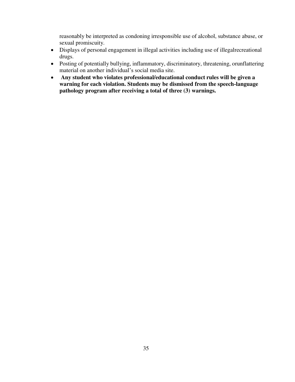reasonably be interpreted as condoning irresponsible use of alcohol, substance abuse, or sexual promiscuity.

- Displays of personal engagement in illegal activities including use of illegal recreational drugs.
- Posting of potentially bullying, inflammatory, discriminatory, threatening, or unflattering material on another individual's social media site.
- **Any student who violates professional/educational conduct rules will be given a warning for each violation. Students may be dismissed from the speech-language pathology program after receiving a total of three (3) warnings.**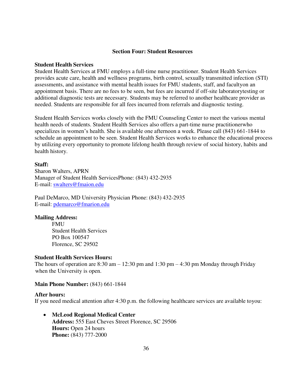#### **Section Four: Student Resources**

#### <span id="page-35-0"></span>**Student Health Services**

Student Health Services at FMU employs a full-time nurse practitioner. Student Health Services provides acute care, health and wellness programs, birth control, sexually transmitted infection (STI) assessments, and assistance with mental health issues for FMU students, staff, and faculty on an appointment basis. There are no fees to be seen, but fees are incurred if off-site laboratory testing or additional diagnostic tests are necessary. Students may be referred to another healthcare provider as needed. Students are responsible for all fees incurred from referrals and diagnostic testing.

Student Health Services works closely with the FMU Counseling Center to meet the various mental health needs of students. Student Health Services also offers a part-time nurse practitioner who specializes in women's health. She is available one afternoon a week. Please call (843) 661- 1844 to schedule an appointment to be seen. Student Health Services works to enhance the educational process by utilizing every opportunity to promote lifelong health through review of social history, habits and health history.

## **Staff:**

Sharon Walters, APRN Manager of Student Health Services Phone: (843) 432-2935 E-mail: [swalters@fmaion.edu](mailto:swalters@fmaion.edu)

Paul DeMarco, MD University Physician Phone: (843) 432-2935 E-mail: [pdemarco@fmarion.edu](mailto:pdemarco@fmarion.edu)

## **Mailing Address:**

FMU Student Health Services PO Box 100547 Florence, SC 29502

#### **Student Health Services Hours:**

The hours of operation are 8:30 am  $-12:30$  pm and 1:30 pm  $-4:30$  pm Monday through Friday when the University is open.

#### **Main Phone Number: (843) 661-1844**

#### **After hours:**

If you need medical attention after 4:30 p.m. the following healthcare services are available to you:

 **McLeod Regional Medical Center Address:** 555 East Cheves Street Florence, SC 29506 **Hours:** Open 24 hours **Phone:** (843) 777-2000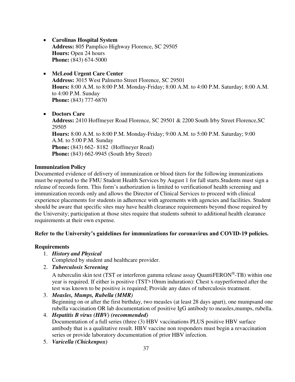- **Carolinas Hospital System Address:** 805 Pamplico Highway Florence, SC 29505 **Hours: Open 24 hours Phone:** (843) 674-5000
- **McLeod Urgent Care Center Address:** 3015 West Palmetto Street Florence, SC 29501 **Hours:** 8:00 A.M. to 8:00 P.M. Monday-Friday; 8:00 A.M. to 4:00 P.M. Saturday; 8:00 A.M. to 4:00 P.M. Sunday **Phone:** (843) 777-6870
- **Doctors Care**

**Address:** 2410 Hoffmeyer Road Florence, SC 29501 & 2200 South Irby Street Florence, SC 29505 **Hours:** 8:00 A.M. to 8:00 P.M. Monday-Friday; 9:00 A.M. to 5:00 P.M. Saturday; 9:00 A.M. to 5:00 P.M. Sunday **Phone:** (843) 662-8182 (Hoffmeyer Road) **Phone:** (843) 662-9945 (South Irby Street)

## **Immunization Policy**

Documented evidence of delivery of immunization or blood titers for the following immunizations must be reported to the FMU Student Health Services by August 1 for fall starts. Students must sign a release of records form. This form's authorization is limited to verification of health screening and immunization records only and allows the Director of Clinical Services to proceed with clinical experience placements for students in adherence with agreements with agencies and facilities. Student should be aware that specific sites may have health clearance requirements beyond those required by the University; participation at those sites require that students submit to additional health clearance requirements at their own expense.

## **Refer to the University's guidelines for immunizations for coronavirus and COVID-19 policies.**

## **Requirements**

- 1. *History and Physical* 
	- Completed by student and healthcare provider.
- 2. *Tuberculosis Screening*

A tuberculin skin test (TST or interferon gamma release assay QuantiFERON<sup>®</sup>-TB) within one year is required. If either is positive (TST>10mm induration): Chest x-ray performed after the test was known to be positive is required; Provide any dates of tuberculosis treatment.

3. *Measles, Mumps, Rubella (MMR)* 

Beginning on or after the first birthday, two measles (at least 28 days apart), one mumps and one rubella vaccination OR lab documentation of positive IgG antibody to measles, mumps, rubella.

- 4. *Hepatitis B virus (HBV) (recommended)*  Documentation of a full series (three (3) HBV vaccinations PLUS positive HBV surface antibody that is a qualitative result. HBV vaccine non responders must begin a revaccination series or provide laboratory documentation of prior HBV infection.
- 5. *Varicella (Chickenpox)*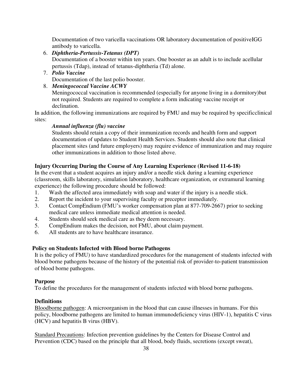Documentation of two varicella vaccinations OR laboratory documentation of positive IGG antibody to varicella.

6. *Diphtheria-Pertussis-Tetanus (DPT)* 

Documentation of a booster within ten years. One booster as an adult is to include a cellular pertussis (Tdap), instead of tetanus-diphtheria (Td) alone.

7. *Polio Vaccine* 

Documentation of the last polio booster.

8. *Meningococcal Vaccine ACWY* 

Meningococcal vaccination is recommended (especially for anyone living in a dormitory) but not required. Students are required to complete a form indicating vaccine receipt or declination.

In addition, the following immunizations are required by FMU and may be required by specific clinical sites:

## *Annual influenza (flu) vaccine*

Students should retain a copy of their immunization records and health form and support documentation of updates to Student Health Services. Students should also note that clinical placement sites (and future employers) may require evidence of immunization and may require other immunizations in addition to those listed above.

# **Injury Occurring During the Course of Any Learning Experience (Revised 11-6-18)**

In the event that a student acquires an injury and/or a needle stick during a learning experience (classroom, skills laboratory, simulation laboratory, healthcare organization, or extramural learning experience) the following procedure should be followed:

- 1. Wash the affected area immediately with soap and water if the injury is a needle stick.
- 2. Report the incident to your supervising faculty or preceptor immediately.
- 3. Contact CompEndium (FMU's worker compensation plan at 877-709-2667) prior to seeking medical care unless immediate medical attention is needed.
- 4. Students should seek medical care as they deem necessary.
- 5. CompEndium makes the decision, not FMU, about claim payment.
- 6. All students are to have healthcare insurance.

# **Policy on Students Infected with Blood borne Pathogens**

It is the policy of FMU) to have standardized procedures for the management of students infected with blood borne pathogens because of the history of the potential risk of provider-to- patient transmission of blood borne pathogens.

## **Purpose**

To define the procedures for the management of students infected with blood borne pathogens.

## **Definitions**

Bloodborne pathogen: A microorganism in the blood that can cause illnesses in humans. For this policy, bloodborne pathogens are limited to human immunodeficiency virus (HIV-1), hepatitis C virus (HCV) and hepatitis B virus (HBV).

Standard Precautions: Infection prevention guidelines by the Centers for Disease Control and Prevention (CDC) based on the principle that all blood, body fluids, secretions (except sweat),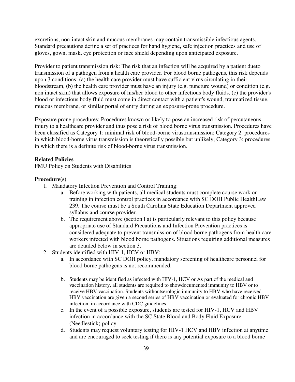excretions, non-intact skin and mucous membranes may contain transmissible infectious agents. Standard precautions define a set of practices for hand hygiene, safe injection practices and use of gloves, gown, mask, eye protection or face shield depending upon anticipated exposure.

Provider to patient transmission risk: The risk that an infection will be acquired by a patient due to transmission of a pathogen from a health care provider. For blood borne pathogens, this risk depends upon 3 conditions: (a) the health care provider must have sufficient virus circulating in their bloodstream, (b) the health care provider must have an injury (e.g. puncture wound) or condition (e.g. non intact skin) that allows exposure of his/her blood to other infectious body fluids, (c) the provider's blood or infectious body fluid must come in direct contact with a patient's wound, traumatized tissue, mucous membrane, or similar portal of entry during an exposure-prone procedure.

Exposure prone procedures: Procedures known or likely to pose an increased risk of percutaneous injury to a healthcare provider and thus pose a risk of blood borne virus transmission. Procedures have been classified as Category 1: minimal risk of blood-borne virustransmission; Category 2: procedures in which blood-borne virus transmission is theoretically possible but unlikely; Category 3: procedures in which there is a definite risk of blood-borne virus transmission.

## **Related Policies**

FMU Policy on Students with Disabilities

#### **Procedure(s)**

- 1. Mandatory Infection Prevention and Control Training:
	- a. Before working with patients, all medical students must complete course work or training in infection control practices in accordance with SC DOH Public Health Law 239. The course must be a South Carolina State Education Department approved syllabus and course provider.
	- b. The requirement above (section 1 a) is particularly relevant to this policy because appropriate use of Standard Precautions and Infection Prevention practices is considered adequate to prevent transmission of blood borne pathogens from health care workers infected with blood borne pathogens. Situations requiring additional measures are detailed below in section 3.
- 2. Students identified with HIV-1, HCV or HBV:
	- a. In accordance with SC DOH policy, mandatory screening of healthcare personnel for blood borne pathogens is not recommended.
	- b. Students may be identified as infected with HIV-1, HCV or As part of the medical and vaccination history, all students are required to show documented immunity to HBV or to receive HBV vaccination. Students withoutserologic immunity to HBV who have received HBV vaccination are given a second series of HBV vaccination or evaluated for chronic HBV infection, in accordance with CDC guidelines.
	- c. In the event of a possible exposure, students are tested for HIV-1, HCV and HBV infection in accordance with the SC State Blood and Body Fluid Exposure (Needlestick) policy.
	- d. Students may request voluntary testing for HIV-1 HCV and HBV infection at anytime and are encouraged to seek testing if there is any potential exposure to a blood borne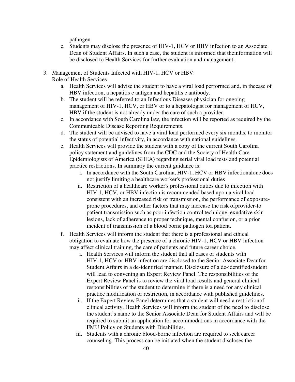pathogen.

- e. Students may disclose the presence of HIV-1, HCV or HBV infection to an Associate Dean of Student Affairs. In such a case, the student is informed that the information will be disclosed to Health Services for further evaluation and management.
- 3. Management of Students Infected with HIV-1, HCV or HBV:
	- Role of Health Services
		- a. Health Services will advise the student to have a viral load performed and, in the case of HBV infection, a hepatitis e antigen and hepatitis e antibody.
		- b. The student will be referred to an Infectious Diseases physician for ongoing management of HIV-1, HCV, or HBV or to a hepatologist for management of HCV, HBV if the student is not already under the care of such a provider.
		- c. In accordance with South Carolina law, the infection will be reported as required by the Communicable Disease Reporting Requirements.
		- d. The student will be advised to have a viral load performed every six months, to monitor the status of potential infectivity, in accordance with national guidelines.
		- e. Health Services will provide the student with a copy of the current South Carolina policy statement and guidelines from the CDC and the Society of Health Care Epidemiologists of America (SHEA) regarding serial viral load tests and potential practice restrictions. In summary the current guidance is:
			- i. In accordance with the South Carolina, HIV-1, HCV or HBV infectionalone does not justify limiting a healthcare worker's professional duties
			- ii. Restriction of a healthcare worker's professional duties due to infection with HIV-1, HCV, or HBV infection is recommended based upon a viral load consistent with an increased risk of transmission, the performance of exposureprone procedures, and other factors that may increase the risk of provider-to patient transmission such as poor infection control technique, exudative skin lesions, lack of adherence to proper technique, mental confusion, or a prior incident of transmission of a blood borne pathogen to a patient.
		- f. Health Services will inform the student that there is a professional and ethical obligation to evaluate how the presence of a chronic HIV-1, HCV or HBV infection may affect clinical training, the care of patients and future career choice.
			- i. Health Services will inform the student that all cases of students with HIV-1, HCV or HBV infection are disclosed to the Senior Associate Deanfor Student Affairs in a de-identified manner. Disclosure of a de-identified student will lead to convening an Expert Review Panel. The responsibilities of the Expert Review Panel is to review the viral load results and general clinical responsibilities of the student to determine if there is a need for any clinical practice modification or restriction, in accordance with published guidelines.
			- ii. If the Expert Review Panel determines that a student will need a restriction of clinical activity, Health Services will inform the student of the need to disclose the student's name to the Senior Associate Dean for Student Affairs and will be required to submit an application for accommodations in accordance with the FMU Policy on Students with Disabilities.
			- iii. Students with a chronic blood-borne infection are required to seek career counseling. This process can be initiated when the student discloses the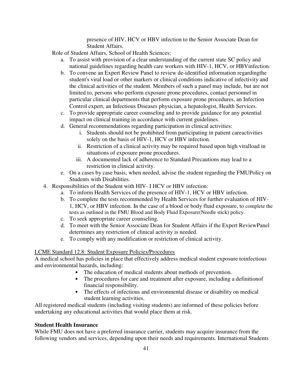presence of HIV, HCV or HBV infection to the Senior Associate Dean for Student Affairs.

Role of Student Affairs, School of Health Sciences:

- a. To assist with provision of a clear understanding of the current state SC policy and national guidelines regarding health care workers with HIV-1, HCV, or HBV infection.
- b. To convene an Expert Review Panel to review de-identified information regarding the student's viral load or other markers or clinical conditions indicative of infectivity and the clinical activities of the student. Members of such a panel may include, but are not limited to, persons who perform exposure prone procedures, contact personnel in particular clinical departments that perform exposure prone procedures, an Infection Control expert, an Infectious Diseases physician, a hepatologist, Health Services.
- c. To provide appropriate career counseling and to provide guidance for any potential impact on clinical training in accordance with current guidelines.
- d. General recommendations regarding participation in clinical activities:
	- i. Students should not be prohibited from participating in patient care activities solely on the basis of HIV-1, HCV or HBV infection.
	- ii. Restriction of a clinical activity may be required based upon high viralload in situations of exposure prone procedures.
	- iii. A documented lack of adherence to Standard Precautions may lead to a restriction in clinical activity.
- e. On a cases by case basis, when needed, advise the student regarding the FMU Policy on Students with Disabilities.
- 4. Responsibilities of the Student with HIV- I HCV or HBV infection:
	- a. To inform Health Services of the presence of HIV-1, HCV or HBV infection.
	- b. To complete the tests recommended by Health Services for further evaluation of HIV-1, HCV, or HBV infection. In the case of a blood or body fluid exposure, to complete the tests as outlined in the FMU Blood and Body Fluid Exposure (Needle stick) policy.
	- c. To seek appropriate career counseling.
	- d. To meet with the Senior Associate Dean for Student Affairs if the Expert Review Panel determines any restriction of clinical activity is needed.
	- e. To comply with any modification or restriction of clinical activity.

# LCME Standard 12.8: Student Exposure Policie*s/*Procedures

A medical school has policies in place that effectively address medical student exposure to infectious and environmental hazards, including:

- The education of medical students about methods of prevention.
- The procedures for care and treatment after exposure, including a definition of financial responsibility.
- The effects of infectious and environmental disease or disability on medical student learning activities.

All registered medical students (including visiting students) are informed of these policies before undertaking any educational activities that would place them at risk.

## **Student Health Insurance**

While FMU does not have a preferred insurance carrier, students may acquire insurance from the following vendors and services, depending upon their needs and requirements. International Students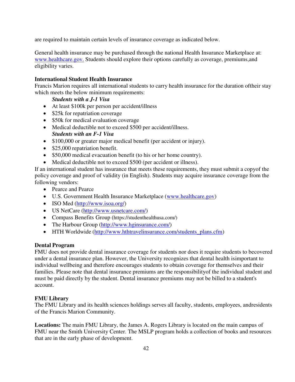are required to maintain certain levels of insurance coverage as indicated below.

General health insurance may be purchased through the national Health Insurance Marketplace at: [www.healthcare.gov.](http://www.healthcare.gov/) Students should explore their options carefully as coverage, premiums, and eligibility varies.

#### **International Student Health Insurance**

Francis Marion requires all international students to carry health insurance for the duration of their stay which meets the below minimum requirements:

#### *Students with a J-1 Visa*

- At least \$100k per person per accident/illness
- \$25k for repatriation coverage
- \$50k for medical evaluation coverage
- Medical deductible not to exceed \$500 per accident/illness. *Students with an F-1 Visa*
- \$100,000 or greater major medical benefit (per accident or injury).
- \$25,000 repatriation benefit.
- \$50,000 medical evacuation benefit (to his or her home country).
- Medical deductible not to exceed \$500 (per accident or illness).

If an international student has insurance that meets these requirements, they must submit a copy of the policy coverage and proof of validity (in English). Students may acquire insurance coverage from the following vendors:

- Pearce and Pearce
- U.S. Government Health Insurance Marketplace [\(www.healthcare.gov\)](http://www.healthcare.gov/)
- ISO Med [\(http://www.isoa.org/\)](http://www.isoa.org/)
- US NetCare [\(http://www.usnetcare.com/\)](http://www.usnetcare.com/)
- Compass Benefits Group (https://studenthealthusa.com/)
- The Harbour Group [\(http://www.hginsurance.com/\)](http://www.hginsurance.com/)
- HTH Worldwide [\(http://www.hthtravelinsurance.com/students\\_plans.cfm\)](http://www.hthtravelinsurance.com/students_plans.cfm)

#### **Dental Program**

FMU does not provide dental insurance coverage for students nor does it require students to be covered under a dental insurance plan. However, the University recognizes that dental health is important to individual wellbeing and therefore encourages students to obtain coverage for themselves and their families. Please note that dental insurance premiums are the responsibility of the individual student and must be paid directly by the student. Dental insurance premiums may not be billed to a student's account.

#### **FMU Library**

The FMU Library and its health sciences holdings serves all faculty, students, employees, and residents of the Francis Marion Community.

**Locations:** The main FMU Library, the James A. Rogers Library is located on the main campus of FMU near the Smith University Center. The MSLP program holds a collection of books and resources that are in the early phase of development.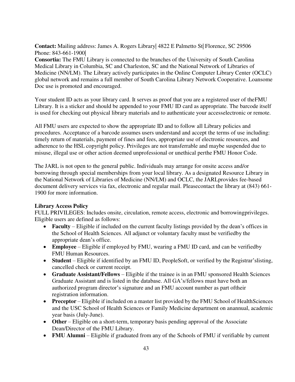**Contact:** Mailing address: James A. Rogers Library| 4822 E Palmetto St| Florence, SC 29506 Phone: 843-661-1900|

**Consortia:** The FMU Library is connected to the branches of the University of South Carolina Medical Library in Columbia, SC and Charleston, SC and the National Network of Libraries of Medicine (NN/LM). The Library actively participates in the Online Computer Library Center (OCLC) global network and remains a full member of South Carolina Library Network Cooperative. Loansome Doc use is promoted and encouraged.

Your student ID acts as your library card. It serves as proof that you are a registered user of the FMU Library. It is a sticker and should be appended to your FMU ID card as appropriate. The barcode itself is used for checking out physical library materials and to authenticate your access electronic or remote.

All FMU users are expected to show the appropriate ID and to follow all Library policies and procedures. Acceptance of a barcode assumes users understand and accept the terms of use including: timely return of materials, payment of fines and fees, appropriate use of electronic resources, and adherence to the HSL copyright policy. Privileges are not transferrable and may be suspended due to misuse, illegal use or other action deemed unprofessional or unethical perthe FMU Honor Code.

The JARL is not open to the general public. Individuals may arrange for onsite access and/or borrowing through special memberships from your local library. As a designated Resource Library in the National Network of Libraries of Medicine (NN/LM) and OCLC, the JARL provides fee-based document delivery services via fax, electronic and regular mail. Please contact the library at (843) 661-1900 for more information.

## **Library Access Policy**

FULL PRIVILEGES: Includes onsite, circulation, remote access, electronic and borrowing privileges. Eligible users are defined as follows:

- **Faculty** Eligible if included on the current faculty listings provided by the dean's offices in the School of Health Sciences. All adjunct or voluntary faculty must be verified by the appropriate dean's office.
- Employee Eligible if employed by FMU, wearing a FMU ID card, and can be verified by FMU Human Resources.
- **Student**  Eligible if identified by an FMU ID, PeopleSoft, or verified by the Registrar's listing, cancelled check or current receipt.
- **Graduate Assistant/Fellows** Eligible if the trainee is in an FMU sponsored Health Sciences Graduate Assistant and is listed in the database. All GA's/fellows must have both an authorized program director's signature and an FMU account number as part of their registration information.
- Preceptor Eligible if included on a master list provided by the FMU School of Health Sciences and the USC School of Health Sciences or Family Medicine department on anannual, academic year basis (July-June).
- Other Eligible on a short-term, temporary basis pending approval of the Associate Dean/Director of the FMU Library.
- FMU Alumni Eligible if graduated from any of the Schools of FMU if verifiable by current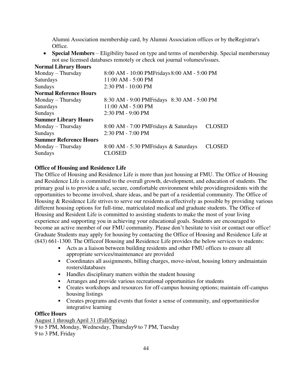Alumni Association membership card, by Alumni Association offices or by the Registrar's Office.

• Special Members – Eligibility based on type and terms of membership. Special members may not use licensed databases remotely or check out journal volumes/issues. **Normal Library Hours** 

| NOFINAL LIDFATY HOUTS         |                                             |               |
|-------------------------------|---------------------------------------------|---------------|
| Monday – Thursday             | 8:00 AM - 10:00 PMFridays 8:00 AM - 5:00 PM |               |
| Saturdays                     | 11:00 AM - 5:00 PM                          |               |
| Sundays                       | 2:30 PM - 10:00 PM                          |               |
| <b>Normal Reference Hours</b> |                                             |               |
| Monday – Thursday             | 8:30 AM - 9:00 PMFridays 8:30 AM - 5:00 PM  |               |
| Saturdays                     | 11:00 AM - 5:00 PM                          |               |
| Sundays                       | 2:30 PM - 9:00 PM                           |               |
| <b>Summer Library Hours</b>   |                                             |               |
| $Monday$ – Thursday           | 8:00 AM - 7:00 PMFridays & Saturdays        | <b>CLOSED</b> |
| <b>Sundays</b>                | 2:30 PM - 7:00 PM                           |               |
| <b>Summer Reference Hours</b> |                                             |               |
| $Monday$ – Thursday           | 8:00 AM - 5:30 PMFridays & Saturdays        | <b>CLOSED</b> |
| <b>Sundays</b>                | <b>CLOSED</b>                               |               |
|                               |                                             |               |

## **Office of Housing and Residence Life**

The Office of Housing and Residence Life is more than just housing at FMU. The Office of Housing and Residence Life is committed to the overall growth, development, and education of students. The primary goal is to provide a safe, secure, comfortable environment while providing residents with the opportunities to become involved, share ideas, and be part of a residential community. The Office of Housing & Residence Life strives to serve our residents as effectively as possible by providing various different housing options for full-time, matriculated medical and graduate students. The Office of Housing and Resident Life is committed to assisting students to make the most of your living experience and supporting you in achieving your educational goals. Students are encouraged to become an active member of our FMU community. Please don't hesitate to visit or contact our office! Graduate Students may apply for housing by contacting the Office of Housing and Residence Life at (843) 661-1300. The Office of Housing and Residence Life provides the below services to students:

- Acts as a liaison between building residents and other FMU offices to ensure all appropriate services/maintenance are provided
- Coordinates all assignments, billing charges, move-in/out, housing lottery and maintain rosters/databases
- Handles disciplinary matters within the student housing
- Arranges and provide various recreational opportunities for students
- Creates workshops and resources for off-campus housing options; maintain off-campus housing listings
- Creates programs and events that foster a sense of community, and opportunities for integrative learning

#### **Office Hours**

August 1 through April 31 (Fall/Spring) 9 to 5 PM, Monday, Wednesday, Thursday 9 to 7 PM, Tuesday 9 to 3 PM, Friday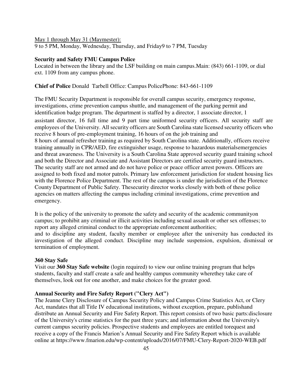May 1 through May 31 (Maymester):

9 to 5 PM, Monday, Wednesday, Thursday, and Friday 9 to 7 PM, Tuesday

#### **Security and Safety FMU Campus Police**

Located in between the library and the LSF building on main campus. Main: (843) 661-1109, or dial ext. 1109 from any campus phone.

## **Chief of Police** Donald Tarbell Office: Campus Police Phone: 843-661-1109

The FMU Security Department is responsible for overall campus security, emergency response, investigations, crime prevention campus shuttle, and management of the parking permit and identification badge program. The department is staffed by a director, 1 associate director, 1

assistant director, 16 full time and 9 part time uniformed security officers. All security staff are employees of the University. All security officers are South Carolina state licensed security officers who receive 8 hours of pre-employment training, 16 hours of on the job training and 8 hours of annual refresher training as required by South Carolina state. Additionally, officers receive training annually in CPR/AED, fire extinguisher usage, response to hazardous materials emergencies and threat awareness. The University is a South Carolina State approved security guard training school and both the Director and Associate and Assistant Directors are certified security guard instructors. The security staff are not armed and do not have police or peace officer arrest powers. Officers are assigned to both fixed and motor patrols. Primary law enforcement jurisdiction for student housing lies with the Florence Police Department. The rest of the campus is under the jurisdiction of the Florence County Department of Public Safety. The security director works closely with both of these police agencies on matters affecting the campus including criminal investigations, crime prevention and emergency.

It is the policy of the university to promote the safety and security of the academic community on campus; to prohibit any criminal or illicit activities including sexual assault or other sex offenses; to report any alleged criminal conduct to the appropriate enforcement authorities; and to discipline any student, faculty member or employee after the university has conducted its investigation of the alleged conduct. Discipline may include suspension, expulsion, dismissal or termination of employment.

#### **360 Stay Safe**

Visit our **360 Stay Safe website** (login required) to view our online training program that helps students, faculty and staff create a safe and healthy campus community where they take care of themselves, look out for one another, and make choices for the greater good.

## **Annual Security and Fire Safety Report ("Clery Act")**

The Jeanne Clery Disclosure of Campus Security Policy and Campus Crime Statistics Act, or Clery Act, mandates that all Title IV educational institutions, without exception, prepare, publishand distribute an Annual Security and Fire Safety Report. This report consists of two basic parts: disclosure of the University's crime statistics for the past three years; and information about the University's current campus security policies. Prospective students and employees are entitled to request and receive a copy of the Francis Marion's Annual Security and Fire Safety Report which is available online at https://www.fmarion.edu/wp-content/uploads/2016/07/FMU-Clery-Report-2020-WEB.pdf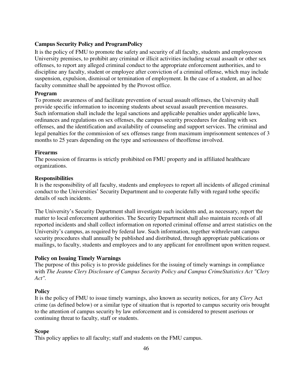## **Campus Security Policy and Program Policy**

It is the policy of FMU to promote the safety and security of all faculty, students and employees on University premises, to prohibit any criminal or illicit activities including sexual assault or other sex offenses, to report any alleged criminal conduct to the appropriate enforcement authorities, and to discipline any faculty, student or employee after conviction of a criminal offense, which may include suspension, expulsion, dismissal or termination of employment. In the case of a student, an ad hoc faculty committee shall be appointed by the Provost office.

#### **Program**

To promote awareness of and facilitate prevention of sexual assault offenses, the University shall provide specific information to incoming students about sexual assault prevention measures. Such information shall include the legal sanctions and applicable penalties under applicable laws, ordinances and regulations on sex offenses, the campus security procedures for dealing with sex offenses, and the identification and availability of counseling and support services. The criminal and legal penalties for the commission of sex offenses range from maximum imprisonment sentences of 3 months to 25 years depending on the type and seriousness of the offense involved.

#### **Firearms**

The possession of firearms is strictly prohibited on FMU property and in affiliated healthcare organizations.

#### **Responsibilities**

It is the responsibility of all faculty, students and employees to report all incidents of alleged criminal conduct to the Universities' Security Department and to cooperate fully with regard to the specific details of such incidents.

The University's Security Department shall investigate such incidents and, as necessary, report the matter to local enforcement authorities. The Security Department shall also maintain records of all reported incidents and shall collect information on reported criminal offense and arrest statistics on the University's campus, as required by federal law. Such information, together with relevant campus security procedures shall annually be published and distributed, through appropriate publications or mailings, to faculty, students and employees and to any applicant for enrollment upon written request.

#### **Policy on Issuing Timely Warnings**

The purpose of this policy is to provide guidelines for the issuing of timely warnings in compliance with *The Jeanne Clery Disclosure of Campus Security Policy and Campus Crime Statistics Act "Clery Act".* 

#### **Policy**

It is the policy of FMU to issue timely warnings, also known as security notices, for any *Clery* Act crime (as defined below) or a similar type of situation that is reported to campus security or is brought to the attention of campus security by law enforcement and is considered to present a serious or continuing threat to faculty, staff or students.

#### **Scope**

This policy applies to all faculty; staff and students on the FMU campus.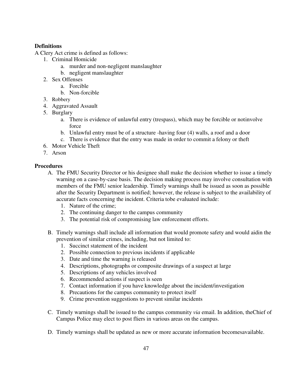# **Definitions**

A Clery Act crime is defined as follows:

- 1. Criminal Homicide
	- a. murder and non-negligent manslaughter
	- b. negligent manslaughter
- 2. Sex Offenses
	- a. Forcible
	- b. Non-forcible
- 3. Robbery
- 4. Aggravated Assault
- 5. Burglary
	- a. There is evidence of unlawful entry (trespass), which may be forcible or not involve force
	- b. Unlawful entry must be of a structure -having four (4) walls, a roof and a door
	- c. There is evidence that the entry was made in order to commit a felony or theft
- 6. Motor Vehicle Theft
- 7. Arson

# **Procedures**

- A. The FMU Security Director or his designee shall make the decision whether to issue a timely warning on a case-by-case basis. The decision making process may involve consultation with members of the FMU senior leadership. Timely warnings shall be issued as soon as possible after the Security Department is notified; however, the release is subject to the availability of accurate facts concerning the incident. Criteria tobe evaluated include:
	- 1. Nature of the crime;
	- 2. The continuing danger to the campus community
	- 3. The potential risk of compromising law enforcement efforts.
- B. Timely warnings shall include all information that would promote safety and would aid in the prevention of similar crimes, including, but not limited to:
	- 1. Succinct statement of the incident
	- 2. Possible connection to previous incidents if applicable
	- 3. Date and time the warning is released
	- 4. Descriptions, photographs or composite drawings of a suspect at large
	- 5. Descriptions of any vehicles involved
	- 6. Recommended actions if suspect is seen
	- 7. Contact information if you have knowledge about the incident/investigation
	- 8. Precautions for the campus community to protect itself
	- 9. Crime prevention suggestions to prevent similar incidents
- C. Timely warnings shall be issued to the campus community *via* email. In addition, the Chief of Campus Police may elect to post fliers in various areas on the campus.
- D. Timely warnings shall be updated as new or more accurate information becomes available.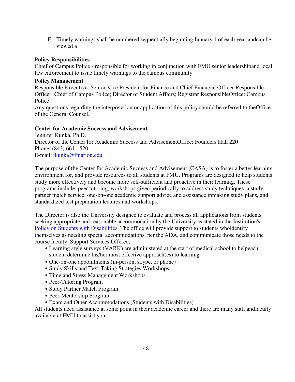E. Timely warnings shall be numbered sequentially beginning January 1 of each year and can be viewed a

## **Policy Responsibilities**

Chief of Campus Police - responsible for working in conjunction with FMU senior leadership and local law enforcement to issue timely warnings to the campus community.

#### **Policy Management**

Responsible Executive: Senior Vice President for Finance and Chief Financial Officer Responsible Officer: Chief of Campus Police; Director of Student Affairs; Registrar Responsible Office: Campus Police

Any questions regarding the interpretation or application of this policy should be referred to the Office of the General Counsel.

#### **Center for Academic Success and Advisement**

 Jennifer Kunka, Ph.D. Director of the Center for Academic Success and Advisement Office: Founders Hall 220 Phone: (843) 661-1520 E-mail: [jkunka@fmarion.edu](mailto:jkunka@fmarion.edu)

The purpose of the Center for Academic Success and Advisement (CASA) is to foster a better learning environment for, and provide resources to all students at FMU. Programs are designed to help students study more effectively and become more self-sufficient and proactive in their learning. These programs include: peer tutoring, workshops given periodically to address study techniques, a study partner match service, one-on-one academic support advice and assistance in making study plans, and standardized test preparation lectures and workshops.

The Director is also the University designee to evaluate and process all applications from students seeking appropriate and reasonable accommodation by the University as stated in the Institution's [Policy on Students with Disabilities.](https://www.nymc.edu/media/schools-and-colleges/nymc/pdf/current-students-academic-policies-/PolicyonStudentswithDisabilities.pdf) The office will provide support to students who identify themselves as needing special accommodations, per the ADA, and communicate those needs to the course faculty. Support Services Offered:

- Learning style surveys (VARK) are administered at the start of medical school to helpeach student determine his/her most effective approach(es) to learning.
- One-on-one appointments (in-person, skype, or phone)
- Study Skills and Text-Taking Strategies Workshops
- Time and Stress Management Workshops.
- Peer-Tutoring Program
- Study Partner Match Program
- Peer-Mentorship Program
- Exam and Other Accommodations (Students with Disabilities)

All students need assistance at some point in their academic career and there are many staff and faculty available at FMU to assist you.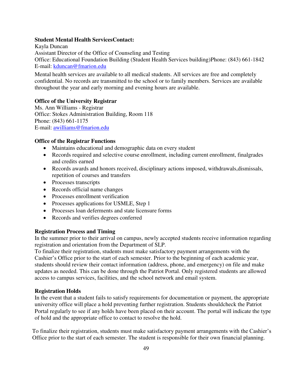#### **Student Mental Health Services Contact:**

Kayla Duncan Assistant Director of the Office of Counseling and Testing Office: Educational Foundation Building (Student Health Services building) Phone: (843) 661-1842 E-mail: [kduncan@fmarion.edu](mailto:rlawson@fmarion.edu)

Mental health services are available to all medical students. All services are free and completely confidential. No records are transmitted to the school or to family members. Services are available throughout the year and early morning and evening hours are available.

#### **Office of the University Registrar**

Ms. Ann Williams - Registrar Office: Stokes Administration Building, Room 118 Phone: (843) 661-1175 E-mail: [awilliams@fmarion.edu](mailto:awilliams@fmarion.edu)

#### **Office of the Registrar Functions**

- Maintains educational and demographic data on every student
- Records required and selective course enrollment, including current enrollment, final grades and credits earned
- Records awards and honors received, disciplinary actions imposed, withdrawals, dismissals, repetition of courses and transfers
- Processes transcripts
- Records official name changes
- Processes enrollment verification
- Processes applications for USMLE, Step 1
- Processes loan deferments and state licensure forms
- Records and verifies degrees conferred

## **Registration Process and Timing**

In the summer prior to their arrival on campus, newly accepted students receive information regarding registration and orientation from the Department of SLP.

To finalize their registration, students must make satisfactory payment arrangements with the Cashier's Office prior to the start of each semester. Prior to the beginning of each academic year, students should review their contact information (address, phone, and emergency) on file and make updates as needed. This can be done through the Patriot Portal. Only registered students are allowed access to campus services, facilities, and the school network and email system.

#### **Registration Holds**

In the event that a student fails to satisfy requirements for documentation or payment, the appropriate university office will place a hold preventing further registration. Students should check the Patriot Portal regularly to see if any holds have been placed on their account. The portal will indicate the type of hold and the appropriate office to contact to resolve the hold.

To finalize their registration, students must make satisfactory payment arrangements with the Cashier's Office prior to the start of each semester. The student is responsible for their own financial planning.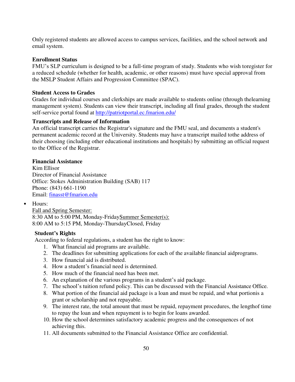Only registered students are allowed access to campus services, facilities, and the school network and email system.

## **Enrollment Status**

FMU's SLP curriculum is designed to be a full-time program of study. Students who wish to register for a reduced schedule (whether for health, academic, or other reasons) must have special approval from the MSLP Student Affairs and Progression Committee (SPAC).

#### **Student Access to Grades**

Grades for individual courses and clerkships are made available to students online (through the learning management system). Students can view their transcript, including all final grades, through the student self-service portal found at<http://patriotportal.ec.fmarion.edu/>

#### **Transcripts and Release of Information**

An official transcript carries the Registrar's signature and the FMU seal, and documents a student's permanent academic record at the University. Students may have a transcript mailed to the address of their choosing (including other educational institutions and hospitals) by submitting an official request to the Office of the Registrar.

#### **Financial Assistance**

Kim Ellisor Director of Financial Assistance Office: Stokes Administration Building (SAB) 117 Phone: (843) 661-1190 Email: [finasst@fmarion.edu](mailto:finasst@fmarion.edu) 

• Hours:

Fall and Spring Semester: 8:30 AM to 5:00 PM, Monday-Friday Summer Semester(s): 8:00 AM to 5:15 PM, Monday-ThursdayClosed, Friday

#### **Student's Rights**

According to federal regulations, a student has the right to know:

- 1. What financial aid programs are available.
- 2. The deadlines for submitting applications for each of the available financial aid programs.
- 3. How financial aid is distributed.
- 4. How a student's financial need is determined.
- 5. How much of the financial need has been met.
- 6. An explanation of the various programs in a student's aid package.
- 7. The school's tuition refund policy. This can be discussed with the Financial Assistance Office.
- 8. What portion of the financial aid package is a loan and must be repaid, and what portionis a grant or scholarship and not repayable.
- 9. The interest rate, the total amount that must be repaid, repayment procedures, the length of time to repay the loan and when repayment is to begin for loans awarded.
- 10. How the school determines satisfactory academic progress and the consequences of not achieving this.
- 11. All documents submitted to the Financial Assistance Office are confidential.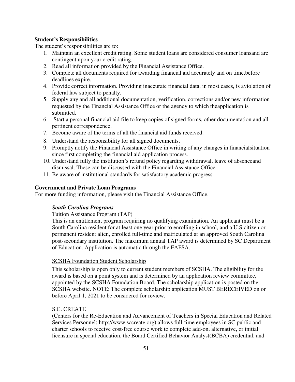## **Student's Responsibilities**

The student's responsibilities are to:

- 1. Maintain an excellent credit rating. Some student loans are considered consumer loans and are contingent upon your credit rating.
- 2. Read all information provided by the Financial Assistance Office.
- 3. Complete all documents required for awarding financial aid accurately and on time, before deadlines expire.
- 4. Provide correct information. Providing inaccurate financial data, in most cases, is a violation of federal law subject to penalty.
- 5. Supply any and all additional documentation, verification, corrections and/or new information requested by the Financial Assistance Office or the agency to which the application is submitted.
- 6. Start a personal financial aid file to keep copies of signed forms, other documentation and all pertinent correspondence.
- 7. Become aware of the terms of all the financial aid funds received.
- 8. Understand the responsibility for all signed documents.
- 9. Promptly notify the Financial Assistance Office in writing of any changes in financial situation since first completing the financial aid application process.
- 10. Understand fully the institution's refund policy regarding withdrawal, leave of absence and dismissal. These can be discussed with the Financial Assistance Office.
- 11. Be aware of institutional standards for satisfactory academic progress.

## **Government and Private Loan Programs**

For more funding information, please visit the Financial Assistance Office.

## *South Carolina Programs*

## Tuition Assistance Program (TAP)

This is an entitlement program requiring no qualifying examination. An applicant must be a South Carolina resident for at least one year prior to enrolling in school, and a U.S. citizen or permanent resident alien, enrolled full-time and matriculated at an approved South Carolina post-secondary institution. The maximum annual TAP award is determined by SC Department of Education. Application is automatic through the FAFSA.

## **SCSHA Foundation Student Scholarship**

This scholarship is open only to current student members of SCSHA. The eligibility for the award is based on a point system and is determined by an application review committee, appointed by the SCSHA Foundation Board. The scholarship application is posted on the SCSHA website. NOTE: The complete scholarship application MUST BERECEIVED on or before April 1, 2021 to be considered for review.

## S.C. CREATE

(Centers for the Re-Education and Advancement of Teachers in Special Education and Related Services Personnel; http://www.sccreate.org) allows full-time employees in SC public and charter schools to receive cost-free course work to complete add-on, alternative, or initial licensure in special education, the Board Certified Behavior Analyst (BCBA) credential, and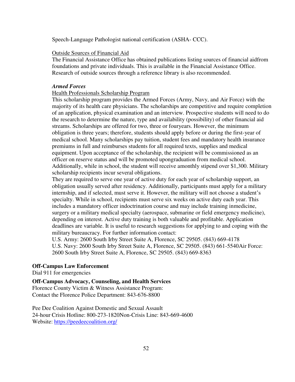Speech-Language Pathologist national certification (ASHA- CCC).

#### Outside Sources of Financial Aid

The Financial Assistance Office has obtained publications listing sources of financial aid from foundations and private individuals. This is available in the Financial Assistance Office. Research of outside sources through a reference library is also recommended.

#### *Armed Forces*

#### Health Professionals Scholarship Program

This scholarship program provides the Armed Forces (Army, Navy, and Air Force) with the majority of its health care physicians. The scholarships are competitive and require completion of an application, physical examination and an interview. Prospective students will need to do the research to determine the nature, type and availability (possibility) of other financial aid streams. Scholarships are offered for two, three or four years. However, the minimum obligation is three years; therefore, students should apply before or during the first-year of medical school. Many scholarships pay tuition, student fees and mandatory health insurance premiums in full and reimburses students for all required texts, supplies and medical equipment. Upon acceptance of the scholarship, the recipient will be commissioned as an officer on reserve status and will be promoted upongraduation from medical school. Additionally, while in school, the student will receive amonthly stipend over \$1,300. Military scholarship recipients incur several obligations.

They are required to serve one year of active duty for each year of scholarship support, an obligation usually served after residency. Additionally, participants must apply for a military internship, and if selected, must serve it. However, the military will not choose a student's specialty. While in school, recipients must serve six weeks on active duty each year. This includes a mandatory officer indoctrination course and may include training in medicine, surgery or a military medical specialty (aerospace, submarine or field emergency medicine), depending on interest. Active duty training is both valuable and profitable. Application deadlines are variable. It is useful to research suggestions for applying to and coping with the military bureaucracy. For further information contact:

U.S. Army: 2600 South Irby Street Suite A, Florence, SC 29505. (843) 669-4178 U.S. Navy: 2600 South Irby Street Suite A, Florence, SC 29505. (843) 661-5540 Air Force: 2600 South Irby Street Suite A, Florence, SC 29505. (843) 669-8363

#### **Off-Campus Law Enforcement**

Dial 911 for emergencies

**Off-Campus Advocacy, Counseling, and Health Services**  Florence County Victim & Witness Assistance Program: Contact the Florence Police Department: 843-676-8800

Pee Dee Coalition Against Domestic and Sexual Assault 24-hour Crisis Hotline: 800-273-1820 Non-Crisis Line: 843-669-4600 Website:<https://peedeecoalition.org/>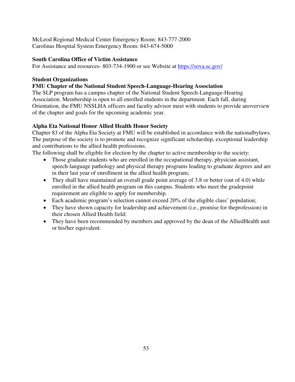McLeod Regional Medical Center Emergency Room: 843-777-2000 Carolinas Hospital System Emergency Room: 843-674-5000

## **South Carolina Office of Victim Assistance**

For Assistance and resources- 803-734-1900 or see Website at<https://sova.sc.gov/>

# **Student Organizations**

## **FMU Chapter of the National Student Speech-Language-Hearing Association**

The SLP program has a campus chapter of the National Student Speech-Language-Hearing Association. Membership is open to all enrolled students in the department. Each fall, during Orientation, the FMU NSSLHA officers and faculty advisor meet with students to provide an overview of the chapter and goals for the upcoming academic year.

# **Alpha Eta National Honor Allied Health Honor Society**

Chapter 83 of the Alpha Eta Society at FMU will be established in accordance with the national by laws. The purpose of the society is to promote and recognize significant scholarship, exceptional leadership and contributions to the allied health professions.

The following shall be eligible for election by the chapter to active membership to the society:

- Those graduate students who are enrolled in the occupational therapy, physician assistant, speech-language pathology and physical therapy programs leading to graduate degrees and are in their last year of enrollment in the allied health program;
- They shall have maintained an overall grade point average of 3.8 or better (out of 4.0) while enrolled in the allied health program on this campus. Students who meet the gradepoint requirement are eligible to apply for membership.
- Each academic program's selection cannot exceed 20% of the eligible class' population;
- $\bullet$  They have shown capacity for leadership and achievement (i.e., promise for the profession) in their chosen Allied Health field;
- <span id="page-52-0"></span>• They have been recommended by members and approved by the dean of the Allied Health unit or his/her equivalent.